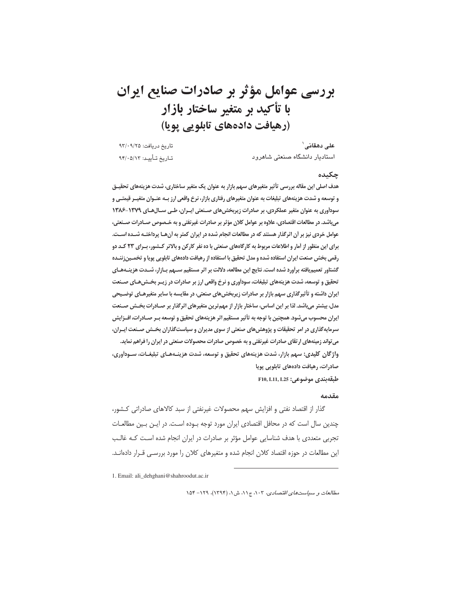بررسي عوامل مؤثر بر صادرات صنايع ايران با تأكيد بر متغير ساختار بازار (رهيافت دادههاي تابلويي يويا)

تاريخ دريافت: ٩٣/٠٩/٢٥ استادیار دانشگاه صنعتی شاهرود تاريخ تـأييـد: ٩۴/٠۵/١٢

#### چکیده

علے دھقانے `

هدف اصلی این مقاله بررسی تأثیر متغیرهای سهم بازار به عنوان یک متغیر ساختاری، شدت هزینههای تحقیــق و توسعه و شدت هزینههای تبلیغات به عنوان متغیرهای رفتاری بازار، نرخ واقعی ارز بـه عنـوان متغیـر قیمتـی و سودآوری به عنوان متغیر عملکردی، بر صادرات زیربخش های صـنعتی ایـران، طـی سـال هـای ١٣٧٩-١٣٨۶ میباشد. در مطالعات اقتصادی، علاوه بر عوامل کلان مؤثر بر صادرات غیرنفتی و به خـصوص صـادرات صـنعتی، عوامل خردی نیز بر آن اثرگذار هستند که در مطالعات انجام شده در ایران کمتر به آنهـا پرداختـه شـده اسـت. برای این منظور از آمار و اطلاعات مربوط به کارگاههای صنعتی با ده نفر کارکن و بالاتر کـشور، بـرای ۲۳ کـد دو رقمی بخش صنعت ایران استفاده شده و مدل تحقیق با استفاده از رهیافت دادههای تابلویی پویا و تخمـینزننـده گشتاور تعمیم یافته برآورد شده است. نتایج این مطالعه، دلالت بر اثر مستقیم سـهم بـازار، شـدت هزینـههـای تحقیق و توسعه، شدت هزینههای تبلیغات، سودآوری و نرخ واقعی ارز بر صادرات در زیـر بخـش۵هـای صـنعت **ایران داشته و تأثیرگذاری سهم بازار بر صادرات زیربخش های صنعتی، در مقایسه با سایر متغیرهـای توضـیحی** مدل، بیشتر میباشد. لذا بر این اساس، ساختار بازار از مهم ترین متغیرهای اثرگذار بر صـادرات بخـش صـنعت ايران محسوب مي شود. همچنين با توجه به تأثير مستقيم اثر هزينههاي تحقيق و توسعه بـر صـادرات، افــزايش سرمایهگذاری در امر تحقیقات و پژوهش های صنعتی از سوی مدیران و سیاستگذاران بخـش صـنعت ایـران، می تواند زمینههای ارتقای صادرات غیرنفتی و به خصوص صادرات محصولات صنعتی در ایران را فراهم نماید. واژگان کلیدی: سهم بازار، شدت هزینههای تحقیق و توسعه، شدت هزینـههـای تبلیغـات، سـودآوری، صادرات، رهیافت دادههای تابلویی پویا F10, L11, L25 : دەخبوعى: F10, L11, L25

#### مقدمه

گذار از اقتصاد نفتی و افزایش سهم محصولات غیرنفتی از سبد کالاهای صادراتی کشور، چندین سال است که در محافل اقتصادی ایران مورد توجه بـوده اسـت. در ایـن بـین مطالعـات تجربی متعددی با هدف شناسایی عوامل مؤثر بر صادرات در ایران انجام شده است کـه غالـب این مطالعات در حوزه اقتصاد کلان انجام شده و متغیرهای کلان را مورد بررسے، قـرار دادهانــد.

1. Email: ali\_dehghani@shahroodut.ac.ir

مطالعات و سياستهاى اقتصادى، ١٠٣، ج١١، ش ١، (١٣٩۴)، ١٢٩- ١٥۴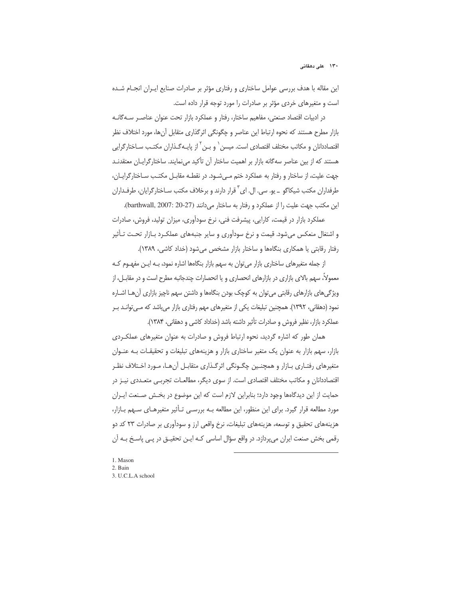۱۳۰ علی دهقانی

این مقاله با هدف بررسی عوامل ساختاری و رفتاری مؤثر بر صادرات صنایع ایـران انجـام شـده است و متغیرهای خردی مؤثر بر صادرات را مورد توجه قرار داده است.

در ادبیات اقتصاد صنعتی، مفاهیم ساختار، رفتار و عملکرد بازار تحت عنوان عناصـر سـهگانـه بازار مطرح هستند كه نحوه ارتباط اين عناصر و چگونگى اثرگذارى متقابل آنها، مورد اختلاف نظر اقتصاددانان و مکاتب مختلف اقتصادی است. میسن <sup>٬</sup> و بـن <sup>٬ ا</sup>ز پایــهگـذاران مکتـب ســاختارگرایی هستند که از بین عناصر سهگانه بازار بر اهمیت ساختار آن تأکید می نمایند. ساختارگرایـان معتقدنــد جهت علیت، از ساختار و رفتار به عملکرد ختم مے شـود. در نقطـه مقابـل مکتـب سـاختارگرایـان، طرفداران مکتب شیکاگو \_ یو. سی. ال. ای<sup>۳</sup> قرار دارند و برخلاف مکتب سـاختارگرایان، طرفـداران این مکتب جهت علیت را از عملکرد و رفتار به ساختار می دانند (barthwall, 2007: 20-27).

عملکرد بازار در قیمت، کارایی، پیشرفت فنی، نرخ سودآوری، میزان تولید، فروش، صادرات و اشتغال منعکس می شود. قیمت و نرخ سودآوری و سایر جنبههای عملک رد بـازار تحـت تـأثیر رفتار رقابتی یا همکاری بنگاهها و ساختار بازار مشخص میشود (خداد کاشی، ۱۳۸۹).

از جمله متغیرهای ساختاری بازار میتوان به سهم بازار بنگاهها اشاره نمود، بـه ایـن مفهـوم کـه معمولاً، سهم بالای بازاری در بازارهای انحصاری و یا انحصارات چندجانبه مطرح است و در مقابـل، از ویژگیهای بازارهای رقابتی میتوان به کوچک بودن بنگاهها و داشتن سهم ناچیز بازاری آنهـا اشــاره نمود (دهقانی، ۱۳۹۲). همچنین تبلیغات یکی از متغیرهای مهم رفتاری بازار میباشد که مـیتوانـد بـر عملكرد بازار، نظير فروش و صادرات تأثير داشته باشد (خداداد كاشي و دهقاني، ١٣٨۴).

همان طور که اشاره گردید، نحوه ارتباط فروش و صادرات به عنوان متغیرهای عملک ردی بازار، سهم بازار به عنوان یک متغیر ساختاری بازار و هزینههای تبلیغات و تحقیقـات بــه عنــوان متغیرهای رفتـاری بـازار و همچنـین چگـونگی اثرگـذاری متقابـل آنهـا، مـورد اخـتلاف نظـر اقتصاددانان و مكاتب مختلف اقتصادى است. از سوى ديگر، مطالعـات تجربـي متعـددي نيـز در حمايت از اين ديدگاهها وجود دارد؛ بنابراين لازم است كه اين موضوع در بخش صـنعت ايـران مورد مطالعه قرار گیرد. برای این منظور، این مطالعه بـه بررسـی تـأثیر متغیرهـای سـهم بـازار، هزینههای تحقیق و توسعه، هزینههای تبلیغات، نرخ واقعی ارز و سودآوری بر صادرات ۲۳ کد دو رقمی بخش صنعت ایران میپردازد. در واقع سؤال اساسی کـه ایــن تحقیــق در پــی پاسـخ بــه آن

-

1. Mason 2. Bain 3. U.C.L.A school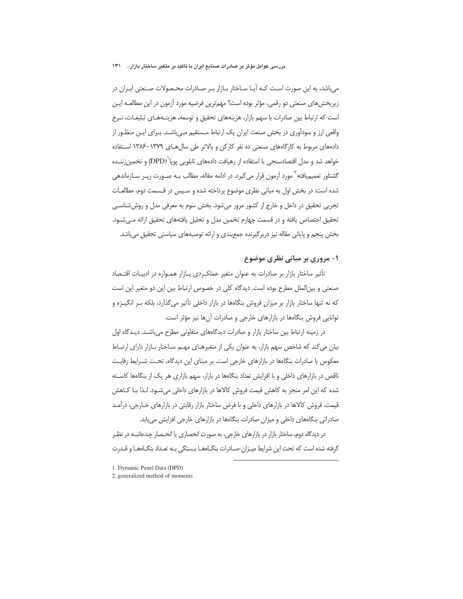بررسی عوامل مؤثر بر صادرات صنایع ایران با تاکید بر متغیر ساختار بازار… ۱۳۱

می باشد، به این صورت اسـت کـه آیـا سـاختار بـازار بـر صـادرات محـصولات صـنعتی ایـران در زیربخش های صنعتی دو رقمی، مؤثر بوده است؟ مهمترین فرضیه مورد آزمون در این مطالعـه ایـن است که ارتباط بین صادرات با سهم بازار، هزینههای تحقیق و توسعه، هزینـههـای تبلیغـات، نـرخ واقعی ارز و سودآوری در بخش صنعت ایران یک ارتباط مـستقیم مـیباشـد. بـرای ایـن منظـور از دادههای مربوط به کارگاههای صنعتی ده نفر کارکن و بالاتر طی سال هـای ۱۳۷۹–۱۳۸۶ اسـتفاده خواهد شد و مدل اقتصادسنجی با استفاده از رهیافت دادههای تابلویی پویا<sup>\</sup>(DPD) و تخمین زننـده گشتاور تعمیمیافته <sup>۲</sup> مورد آزمون قرار می *گ*یرد. در ادامه مقاله، مطالب بـه صـورت زیـر سـازماندهی شده است: در بخش اول به مبانی نظری موضوع پرداخته شده و سـپس در قـسمت دوم، مطالعـات تجربي تحقيق در داخل و خارج از كشور مرور مے شود. بخش سوم به معرفے مدل و روش شناسے ِ تحقیق اختصاص یافته و در قسمت چهارم تخمین مدل و تحلیل یافتههای تحقیق ارائه می شـود. بخش ينجم و پاياني مقاله نيز دربر گيرنده جمع بندي و ارائه توصيههاي سياستي تحقيق مي باشد.

# ۱- مروری بر مبانی نظری موضوع

تأثیر ساختار بازار بر صادرات به عنوان متغیر عملکردی بـازار همـواره در ادبیـات اقتـصاد صنعتی و بین|لملل مطرح بوده است. دیدگاه کلی در خصوص ارتباط بین این دو متغیر این است که نه تنها ساختار بازار بر میزان فروش بنگاهها در بازار داخلی تأثیر میگذارد، بلکه بـر انگیـزه و توانایی فروش بنگاهها در بازارهای خارجی و صادرات آنها نیز مؤثر است.

در زمینه ارتباط بین ساختار بازار و صادرات دیدگاههای متفاوتی مطرح میباشـد. دیـدگاه اول بیان می کند که شاخص سهم بازار، به عنوان یکی از متغیرهـای مهــم ســاختار بــازار دارای ارتبــاط معکوس با صادرات بنگاهها در بازارهای خارجی است. بر مبنای این دیدگاه، تحت شـرایط رقابت ناقص در بازارهای داخلی و با افزایش تعداد بنگاهها در بازار، سهم بازاری هر یک از بنگاهها کاسته شده که این امر منجر به کاهش قیمت فروش کالاها در بازارهای داخلی میشـود. لـذا بـا کـاهش قیمت، فروش کالاها در بازارهای داخلی و با فرض ساختار بازار رقابتی در بازارهای خـارجی، درآمـد صادراتی بنگاههای داخلی و میزان صادرات بنگاهها در بازارهای خارجی افزایش می یابد.

در دیدگاه دوم، ساختار بازار در بازارهای خارجی، به صورت انحصاری یا انحـصار چندجانبــه در نظـر گرفته شده است که تحت این شرایط میـزان صـادرات بنگـاههـا بـستگی بـه تعـداد بنگـاههـا و قـدرت

- 1. Dynamic Panel Data (DPD)
- 2. generalized method of moments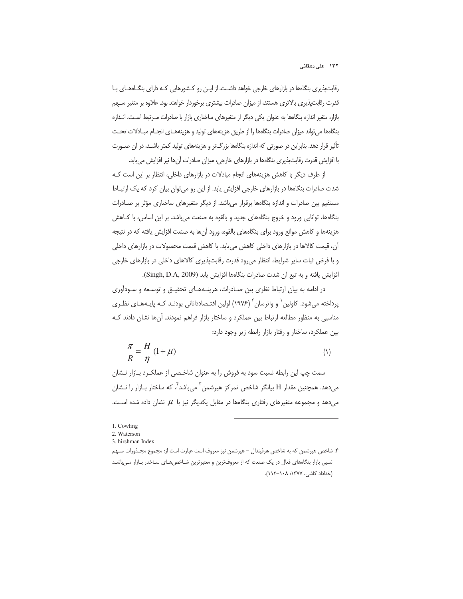رقابتپذیری بنگاهها در بازارهای خارجی خواهد داشت. از ایـن رو کـشورهایی کـه دارای بنگـاههـای بـا قدرت رقابتپذیری بالاتری هستند، از میزان صادرات بیشتری برخوردار خواهند بود. علاوه بر متغیر سـهم بازار، متغیر اندازه بنگاهها به عنوان یکی دیگر از متغیرهای ساختاری بازار با صادرات مـرتبط اسـت. انـدازه بنگاهها می تواند میزان صادرات بنگاهها را از طریق هزینههای تولید و هزینههـای انجـام مبـادلات تحـت تأثیر قرار دهد. بنابراین در صورتی که اندازه بنگاهها بزرگتر و هزینههای تولید کمتر باشـد، در آن صــورت با افزایش قدرت رقابتپذیری بنگاهها در بازارهای خارجی، میزان صادرات آنها نیز افزایش می یابد.

از طرف دیگر با کاهش هزینههای انجام مبادلات در بازارهای داخلی، انتظار بر این است ک شدت صادرات بنگاهها در بازارهای خارجی افزایش یابد. از این رو می توان بیان کرد که یک ارتباط مستقیم بین صادرات و اندازه بنگاهها برقرار میباشد. از دیگر متغیرهای ساختاری مؤثر بر صـادرات بنگاهها، توانایی ورود و خروج بنگاههای جدید و بالقوه به صنعت میباشد. بر این اساس، با کـاهش هزینهها و کاهش موانع ورود برای بنگاههای بالقوه، ورود آنها به صنعت افزایش یافته که در نتیجه آن، قیمت کالاها در بازارهای داخلی کاهش می یابد. با کاهش قیمت محصولات در بازارهای داخلی و با فرض ثبات سایر شرایط، انتظار میرود قدرت رقابتپذیری کالاهای داخلی در بازارهای خارجی افزايش يافته و به تبع أن شدت صادرات بنگامها افزايش يابد (Singh, D.A, 2009).

در ادامه به بیان ارتباط نظری بین صـادرات، هزینـههـای تحقیـق و توسـعه و سـودآوری پرداخته میشود. کاولین<sup>י</sup> و واترسان<sup>۲</sup> (۱۹۷۶) اولین اقتـصاددانانی بودنـد کـه پایـههـای نظـری مناسبی به منظور مطالعه ارتباط بین عملکرد و ساختار بازار فراهم نمودند. آنها نشان دادند کـه بین عملکرد، ساختار و رفتار بازار رابطه زیر وجود دارد:

$$
\frac{\pi}{R} = \frac{H}{\eta} (1 + \mu)
$$
 (1)

سمت چپ این رابطه نسبت سود به فروش را به عنوان شاخصی از عملکرد بازار نشان میدهد. همچنین مقدار H بیانگر شاخص تمرکز هیرشمن<sup>۲</sup> میباشد<sup>۲</sup>، که ساختار بـازار را نــشان میدهد و مجموعه متغیرهای رفتاری بنگاهها در مقابل یکدیگر نیز با  $\mu$  نشان داده شده است.

-

۴. شاخص هيرشمن كه به شاخص هرفيندال – هيرشمن نيز معروف است عبارت است از: مجموع مجـذورات سـهم نسبی بازار بنگاههای فعال در یک صنعت که از معروفترین و معتبرترین شـاخص۵عـای سـاختار بــازار مــیLباشـد (خداداد كاشى، ١٣٧٧: ١١٨-١١٢).

<sup>1.</sup> Cowling

<sup>2.</sup> Waterson

<sup>3.</sup> hirshman Index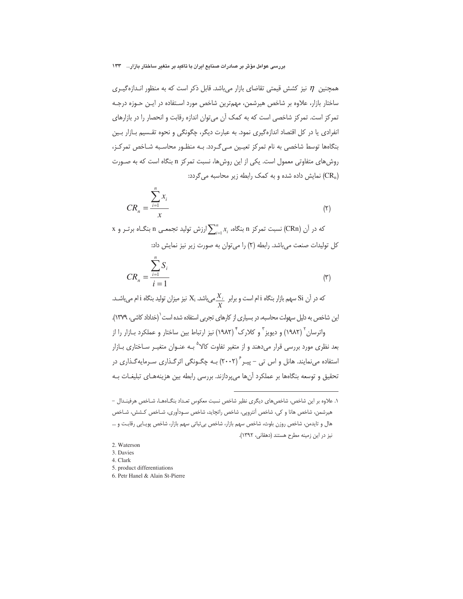بررسی عوامل مؤثر بر صادرات صنایع ایران با تاکید بر متغیر ساختار بازار… ۱۳۳

همچنین  $\eta$  نیز کشش قیمتی تقاضای بازار میباشد. قابل ذکر است که به منظور انـدازهگیـری ساختار بازار، علاوه بر شاخص هیرشمن، مهمترین شاخص مورد اسـتفاده در ایـن حـوزه درجـه تمرکز است. تمرکز شاخصی است که به کمک آن میتوان اندازه رقابت و انحصار را در بازارهای انفرادی یا در کل اقتصاد اندازهگیری نمود. به عبارت دیگر، چگونگی و نحوه تقسیم بازار بین بنگاهها توسط شاخصی به نام تمرکز تعیین مے گردد. بـه منظـور محاسـبه شـاخص تمرکـز، روش های متفاوتی معمول است. یکی از این روش ها، نسبت تمرکز n بنگاه است که به صـورت نمایش داده شده و به کمک رابطه زیر محاسبه می گردد: (CR<sub>n</sub>)

$$
CR_n = \frac{\sum_{i=1}^{n} x_i}{x}
$$
 (7)

x در آن (CRn) نسبت تمرکز n بنگاه،  $\sum_{i=1}^{n} x_i$  ارزش تولید تجمعـی n بنگـاه برتـر و x كل توليدات صنعت مي باشد. رابطه (٢) را مي توان به صورت زير نيز نمايش داد:

$$
CR_n = \frac{\sum_{i=1}^{n} S_i}{i=1}
$$
 (7)

که در آن Si سهم بازار بنگاه i ام است و برابر  $\frac{X_i}{\rm k}$ میباشد.  ${\rm X_i}$  نیز میزان تولید بنگاه i ام میباشـد. این شاخص به دلیل سهولت محاسبه، در بسیاری از کارهای تجربی استفاده شده است<sup>\</sup>(خداداد کاشی، ۱۳۷۹). واترسان <sup>۲</sup> (۱۹۸۲) و دیویز <sup>۳</sup> و کلارک ٔ (۱۹۸۲) نیز ارتباط بین ساختار و عملکرد بــازار را از بعد نظری مورد بررسی قرار میدهند و از متغیر تفاوت کالا<sup>۵</sup> بـه عنـوان متغیـر سـاختاری بــازار استفاده مینمایند. هانل و اس تی – پیـر ۲۰۰۲) بـه چگـونگی اثرگـذاری سـرمایهگـذاری در تحقیق و توسعه بنگاهها بر عملکرد آنها میپردازند. بررسی رابطه بین هزینههـای تبلیغـات بـه

١. علاوه بر اين شاخص، شاخص هاي ديگري نظير شاخص نسبت معكوس تعـداد بنگـاههـا، شـاخص هرفينـدال – هیرشمن، شاخص هانا و کی، شاخص آنتروپی، شاخص راتچاید، شاخص سـودآوری، شـاخص کـشش، شـاخص هال و تايدمن، شاخص روزن بلوث، شاخص سهم بازار، شاخص بي ثباتي سهم بازار، شاخص پويايي رقابت و ... نیز در این زمینه مطرح هستند (دهقانی، ۱۳۹۲).

<sup>2.</sup> Waterson

<sup>3.</sup> Davies

<sup>4</sup> Clark

<sup>5.</sup> product differentiations

<sup>6.</sup> Petr Hanel & Alain St-Pierre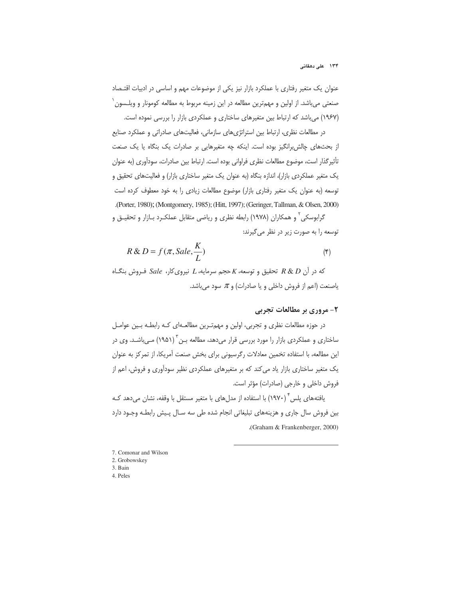عنوان یک متغیر رفتاری با عملکرد بازار نیز یکی از موضوعات مهم و اساسی در ادبیات اقتـصاد صنعتی میباشد. از اولین و مهمترین مطالعه در این زمینه مربوط به مطالعه کومونار و ویلـسون<sup>\</sup> (۱۹۶۷) میباشد که ارتباط بین متغیرهای ساختاری و عملکردی بازار را بررسی نموده است.

در مطالعات نظری، ارتباط بین استراتژیهای سازمانی، فعالیتهای صادراتی و عملکرد صنایع از بحثهای چالش برانگیز بوده است. اینکه چه متغیرهایی بر صادرات یک بنگاه یا یک صنعت تأثير گذار است، موضوع مطالعات نظرى فراواني بوده است. ارتباط بين صادرات، سودآورى (به عنوان یک متغیر عملکردی بازار)، اندازه بنگاه (به عنوان یک متغیر ساختاری بازار) و فعالیتهای تحقیق و توسعه (به عنوان یک متغیر رفتاری بازار) موضوع مطالعات زیادی را به خود معطوف کرده است Porter, 1980;(Montgomery, 1985); (Hitt, 1997); (Geringer, Tallman, & Olsen, 2000)

گرابوسکی<sup>۲</sup> و همکاران (۱۹۷۸) رابطه نظری و ریاضی متقابل عملکـرد بـازار و تحقیــق و توسعه را به صورت زیر در نظر می گیرند:

$$
R \& D = f(\pi, Sale, \frac{K}{L})
$$
 (5)

 $K$  که در آن R & D تحقیق و توسعه، K حجم سرمایه، L نیروی کار، Sale فـروش بنگـاه ياصنعت (اعم از فروش داخلي و يا صادرات) و  $\pi$  سود مىباشد.

## ۲- مروری پر مطالعات تجربی

در حوزه مطالعات نظری و تجربی، اولین و مهمترین مطالعـهای کـه رابطـه بـین عوامـل ساختاری و عملکردی بازار را مورد بررسی قرار میدهد، مطالعه بـن<sup>۳</sup> (۱۹۵۱) مـیباشـد. وی در این مطالعه، با استفاده تخمین معادلات رگرسیونی برای بخش صنعت آمریکا، از تمرکز به عنوان یک متغیر ساختاری بازار یاد میکند که بر متغیرهای عملکردی نظیر سودآوری و فروش، اعم از فروش داخلي و خارجي (صادرات) مؤثر است.

یافتههای پلس ٔ (۱۹۷۰) با استفاده از مدلهای با متغیر مستقل با وقفه، نشان میدهد کـه بین فروش سال جاری و هزینههای تبلیغاتی انجام شده طی سه سـال پـیش رابطـه وجـود دارد 9 (Graham & Frankenberger, 2000)

-

- 7. Comonar and Wilson 2. Grobowskey
- 
- 3. Bain
- 4. Peles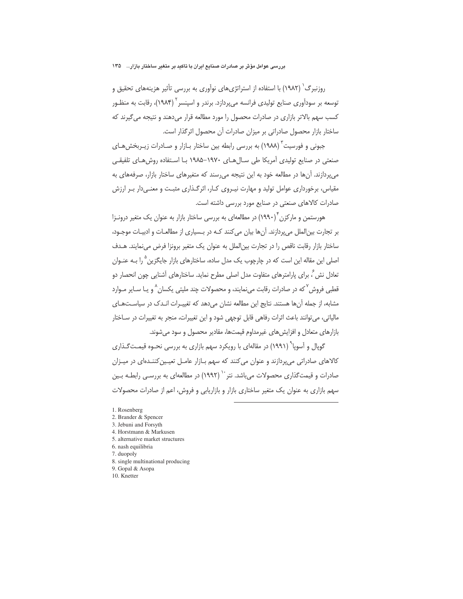روزنبرگ<sup>٬ (</sup>۱۹۸۲) با استفاده از استراتژیهای نوآوری به بررسی تأثیر هزینههای تحقیق و توسعه بر سودآوری صنایع تولیدی فرانسه میپردازد. برندر و اسپنسر ۲ (۱۹۸۴)، رقابت به منظـور کسب سهم بالاتر بازاری در صادرات محصول را مورد مطالعه قرار می دهند و نتیجه می گیرند که ساختار بازار محصول صادراتی بر میزان صادرات آن محصول اثرگذار است.

جبونی و فورسیت ٔ (۱۹۸۸) به بررسی رابطه بین ساختار بـازار و صـادرات زیــربخشهـای صنعتی در صنایع تولیدی آمریکا طی سال های ۱۹۷۰–۱۹۸۵ با استفاده روش های تلفیقی می پردازند. آنها در مطالعه خود به این نتیجه می رسند که متغیرهای ساختار بازار، صرفههای به مقیاس، برخورداری عوامل تولید و مهارت نیـروی کـار، اثرگـذاری مثبـت و معنـی۱دار بـر ارزش صادرات كالاهاى صنعتى در صنايع مورد بررسى داشته است.

هورستمن و مارکزن (۱۹۹۰) در مطالعهای به بررسی ساختار بازار به عنوان یک متغیر درونـزا بر تجارت بین|لملل می پردازند. آنها بیان می کنند کـه در بـسیاری از مطالعـات و ادبیـات موجـود، ساختار بازار رقابت ناقص را در تجارت بین الملل به عنوان یک متغیر برونزا فرض می نمایند. هـدف اصلي اين مقاله اين است كه در چارچوب يک مدل ساده، ساختارهاي بازار جايگزين <sup>۵</sup> را بــه عنــوان تعادل نش ً، برای پارامترهای متفاوت مدل اصلی مطرح نماید. ساختارهای آشنایی چون انحصار دو قطبی فروش <sup>۷</sup> که در صادرات رقابت می نمایند، و محصولات چند ملیتی یکسان <sup>۸</sup> و یـا سـایر مـوارد مشابه، از جمله آنها هستند. نتايج اين مطالعه نشان مى دهد كه تغييـرات انـدك در سياسـتهـاى مالیاتی، می توانند باعث اثرات رفاهی قابل توجهی شود و این تغییرات، منجر به تغییرات در سـاختار بازارهای متعادل و افزایش های غیرمداوم قیمتها، مقادیر محصول و سود می شوند.

گوپال و آسوپا<sup>۹</sup> (۱۹۹۱) در مقالهای با رویکرد سهم بازاری به بررسی نحـوه قیمـت $\ell$ ـذاری کالاهای صادراتی می پردازند و عنوان می کنند که سهم بـازار عامـل تعیـین کننـدهای در میـزان صادرات و قیمتگذاری محصولات می باشد. نتر `` (۱۹۹۲) در مطالعهای به بررسـی رابطـه بـین سهم بازاری به عنوان یک متغیر ساختاری بازار و بازاریابی و فروش، اعم از صادرات محصولات

- 1. Rosenberg
- 2. Brander & Spencer
- 3. Jebuni and Forsyth
- 4. Horstmann & Markusen
- 5. alternative market structures
- 6. nash equilibria
- 7. duopoly
- 8. single multinational producing
- 9. Gopal & Asopa
- 10. Knetter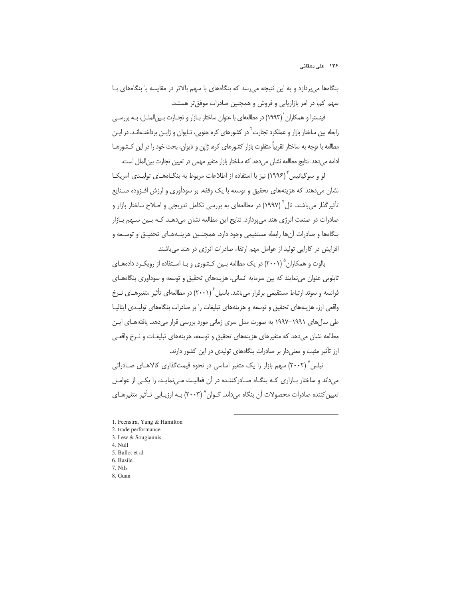بنگاهها می پردازد و به این نتیجه می رسد که بنگاههای با سهم بالاتر در مقایسه با بنگاههای بـا سهم کم، در امر بازاریابی و فروش و همچنین صادرات موفق تر هستند.

فینسترا و همکاران <sup>(</sup> (۱۹۹۳) در مطالعهای با عنوان ساختار بــازار و تجــارت بــین|لملــل، بــه بررســی رابطه بین ساختار بازار و عملکرد تجارت<sup>۲</sup> در کشورهای کره جنوبی، تـایوان و ژاپــن پرداختــهانــد. در ایــن مطالعه با توجه به ساختار تقریباً متفاوت بازار کشورهای کره، ژاپن و تایوان، بحث خود را در این کـشورهــا ادامه میدهد. نتایج مطالعه نشان میدهد که ساختار بازار متغیر مهمی در تعیین تجارت بین الملل است.

لو و سوگیانیس ۱۳۹۶) نیز با استفاده از اطلاعات مربوط به بنگــاههــای تولیــدی آمریکــا نشان میدهند که هزینههای تحقیق و توسعه با یک وقفه، بر سودآوری و ارزش افـزوده صـنایع تأثیر گذار می باشند. نال<sup>۴</sup> (۱۹۹۷) در مطالعهای به بررسی تکامل تدریجی و اصلاح ساختار بازار و صادرات در صنعت انرژی هند میپردازد. نتایج این مطالعه نشان میدهـد کـه بـین سـهم بـازار بنگاهها و صادرات آنها رابطه مستقیمی وجود دارد. همچنین هزینـههـای تحقیـق و توسـعه و افزایش در کارایی تولید از عوامل مهم ارتقاء صادرات انرژی در هند می باشند.

بالوت و همکاران ۱/ ۲۰۰۱) در یک مطالعه بـین کـشوری و بـا اسـتفاده از رویکـرد دادههـای تابلویی عنوان می نمایند که بین سرمایه انسانی، هزینههای تحقیق و توسعه و سودآوری بنگاههـای فرانسه و سوئد ارتباط مستقیمی برقرار می باشد. باسیل ۲۰۰۱) در مطالعهای تأثیر متغیرهـای نـرخ واقعی ارز، هزینههای تحقیق و توسعه و هزینههای تبلیغات را بر صادرات بنگاههای تولیـدی ایتالیـا طی سال های ۱۹۹۱–۱۹۹۷ به صورت مدل سری زمانی مورد بررسی قرار میدهد. یافتههـای ایـن مطالعه نشان می دهد که متغیرهای هزینههای تحقیق و توسعه، هزینههای تبلیغـات و نـرخ واقعـی ارز تأثیر مثبت و معنی دار بر صادرات بنگاههای تولیدی در این کشور دارند.

نیلس (۲۰۰۲) سهم بازار را یک متغیر اساسی در نحوه قیمتگذاری کالاهـای صـادراتی می داند و ساختار بـازاری کـه بنگـاه صـادرکننـده در آن فعالیـت مـی نمایـد، را یکـی از عوامـل تعیین کننده صادرات محصولات آن بنگاه میداند. گـوان^ (۲۰۰۳) بـه ارزیـابی تـأثیر متغیرهـای

- 2. trade performance
- 3. Lew & Sougiannis
- 4. Null
- 5. Ballot et al
- 6. Basile
- 7. Nils
- 8. Guan

<sup>1.</sup> Feenstra, Yang & Hamilton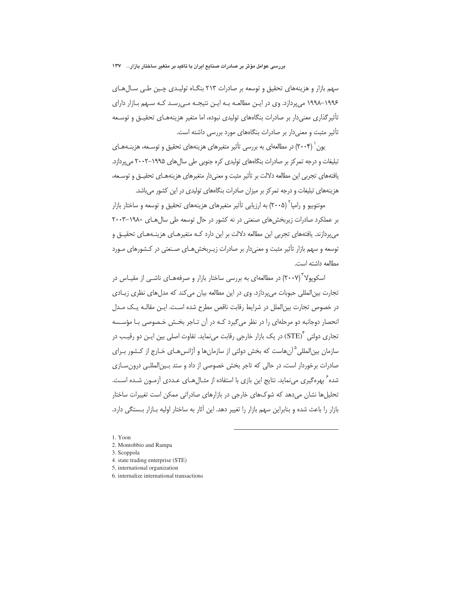سهم بازار و هزینههای تحقیق و توسعه بر صادرات ۲۱۳ بنگـاه تولیـدی چـین طـی سـالهـای ۱۹۹۶–۱۹۹۸ می پردازد. وی در ایـن مطالعـه بـه ایـن نتیجـه مـی رسـد کـه سـهم بـازار دارای تأثیر گذاری معنی دار بر صادرات بنگاههای تولیدی نبوده، اما متغیر هزینههـای تحقیـق و توسـعه تأثیر مثبت و معنیدار بر صادرات بنگاههای مورد بررسی داشته است.

یون ` (۲۰۰۴) در مطالعهای به بررسی تأثیر متغیرهای هزینههای تحقیق و توسـعه، هزینـههـای تبلیغات و درجه تمرکز بر صادرات بنگاههای تولیدی کره جنوبی طی سال های ۱۹۹۵–۲۰۰۲ می پردازد. یافتههای تجربی این مطالعه دلالت بر تأثیر مثبت و معنیدار متغیرهای هزینههـای تحقیــق و توســعه، هزینههای تبلیغات و درجه تمرکز بر میزان صادرات بنگاههای تولیدی در این کشور میباشد.

مونتوبیو و رامیا<sup>۲</sup> (۲۰۰۵) به ارزیابی تأثیر متغیرهای هزینههای تحقیق و توسعه و ساختار بازار بر عملکرد صادرات زیربخشهای صنعتی در نه کشور در حال توسعه طی سال های ١٩٨٠-٢٠٠٣ می دازند. یافتههای تجربی این مطالعه دلالت بر این دارد کـه متغیرهـای هزینـههـای تحقیـق و توسعه و سهم بازار تأثیر مثبت و معنی دار بر صادرات زیـربخش هـای صـنعتی در کـشورهای مـورد مطالعه داشته است.

اسکوپولا ٌ (۲۰۰۷) در مطالعهای به بررسی ساختار بازار و صرفههـای ناشــی از مقیــاس در تجارت بین|لمللی حبوبات می پردازد. وی در این مطالعه بیان می کند که مدل های نظری زیـادی در خصوص تجارت بین|لملل در شرایط رقابت ناقص مطرح شده است. ایـن مقالـه یـک مـدل انحصار دوجانبه دو مرحلهای را در نظر میگیرد کـه در آن تـاجر بخـش خـصوصی بـا مؤسـسه تجاري دولتي "(STE) در يک بازار خارجي رقابت ميiمايد. تفاوت اصلي بين ايـن دو رقيـب در سازمان بین|لمللی <sup>۵</sup> آن هاست که بخش دولتی از سازمان ها و آژانس هـای خـارج از کـشور بـرای صادرات برخوردار است، در حالی که تاجر بخش خصوصی از داد و ستد بین المللی درون سازی شده ً بهره گیری می نماید. نتایج این بازی با استفاده از مثـال هـای عــددی آزمـون شــده اسـت. تحلیلها نشان می دهد که شوکهای خارجی در بازارهای صادراتی ممکن است تغییرات ساختار بازار را باعث شده و بنابراین سهم بازار را تغییر دهد. این آثار به ساختار اولیه بـازار بـستگی دارد.

- 3. Scoppola
- 4. state trading enterprise (STE)
- 5. international organization
- 6. internalize international transactions

<sup>1.</sup> Yoon

<sup>2.</sup> Montobbio and Rampa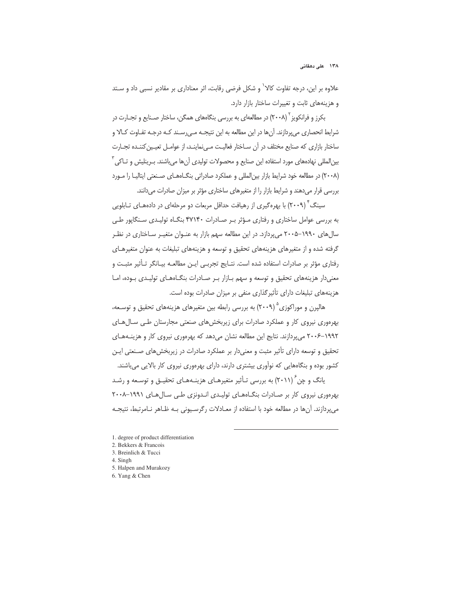#### ۱۳۸ علی دهقانی

علاوه بر این، درجه تفاوت کالا<sup>\</sup> و شکل فرضی رقابت، اثر معناداری بر مقادیر نسبی داد و سـتد و هزینههای ثابت و تغییرات ساختار بازار دارد.

بکرز و فرانکویز ۲۰۰۸) در مطالعهای به بررسی بنگاههای همگن، ساختار صـنایع و تجـارت در شرایط انحصاری میپردازند. آنها در این مطالعه به این نتیجـه مـیرسـند کـه درجـه تفـاوت کـالا و ساختار بازاری که صنایع مختلف در آن سـاختار فعالیـت مـی نماینـد، از عوامـل تعیـین کننـده تجـارت بین|لمللی نهادههای مورد استفاده این صنایع و محصولات تولیدی آنها میباشند. بـرینلیش و تــاکی ّ (۲۰۰۸) در مطالعه خود شرایط بازار بین المللی و عملکرد صادراتی بنگـاههـای صـنعتی ایتالیـا را مـورد بررسی قرار میدهند و شرایط بازار را از متغیرهای ساختاری مؤثر بر میزان صادرات میدانند.

سینگ ۲۰۰۹) با بهرهگیری از رهپافت حداقل مربعات دو مرحلهای در دادههـای تـابلویی به بررسی عوامل ساختاری و رفتاری مؤثر بر صادرات ۴۷۱۴۰ بنگاه تولیدی سنگاپور طے سال های ۱۹۹۰–۲۰۰۵ میپردازد. در این مطالعه سهم بازار به عنـوان متغیـر سـاختاری در نظـر گرفته شده و از متغیرهای هزینههای تحقیق و توسعه و هزینههای تبلیغات به عنوان متغیرهـای رفتاری مؤثر پر صادرات استفاده شده است. نتـایج تجربــی ایـن مطالعـه پیـانگر تـأثیر مثبـت و معنی دار هزینههای تحقیق و توسعه و سهم بازار بر صادرات بنگاههای تولیدی بوده، اما هزینههای تبلیغات دارای تأثیر گذاری منفی بر میزان صادرات بوده است.

هالیرن و موراکوزی<sup>۵</sup> (۲۰۰۹) به بررسی رابطه بین متغیرهای هزینههای تحقیق و توسـعه، بھرہوری نیروی کار و عملکرد صادرات برای زیربخش های صنعتی مجارستان طے سال های ۱۹۹۲–۲۰۰۶ می پردازند. نتایج این مطالعه نشان میدهد که بهرهوری نیروی کار و هزینـههـای تحقیق و توسعه دارای تأثیر مثبت و معنیدار بر عملکرد صادرات در زیربخش های صـنعتی ایـن کشور بوده و بنگاههایی که نوآوری بیشتری دارند، دارای بهرهوری نیروی کار بالایی می باشند.

یانگ و چن ۲۰۱۱) به بررسی تـأثیر متغیرهـای هزینـههـای تحقیـق و توسـعه و رشـد بھرہوری نیروی کار بر صادرات بنگاہھای تولیدی اندونزی طے سال ھای ۱۹۹۱-۲۰۰۸ می پردازند. آنها در مطالعه خود با استفاده از معــادلات رگرســیونی بــه ظــاهر نــامرتبط، نتیجــه

- 1. degree of product differentiation
- 2. Bekkers & Francois
- 3. Breinlich & Tucci
- 4. Singh
- 5. Halpen and Murakozy
- 6. Yang & Chen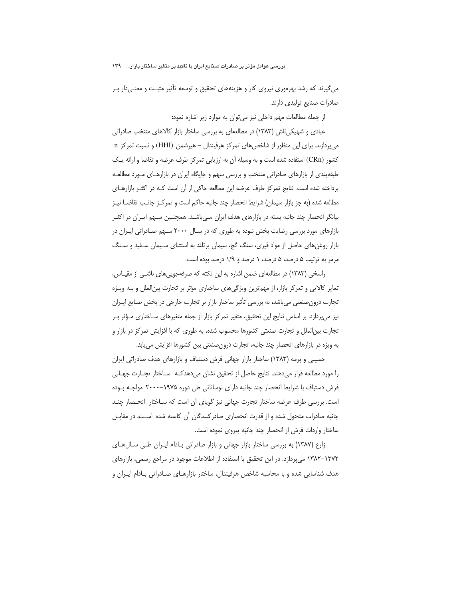می گیرند که رشد بهرهوری نیروی کار و هزینههای تحقیق و توسعه تأثیر مثبت و معنـی۱دار بـر صادرات صنايع توليدى دارند.

از جمله مطالعات مهم داخلی نیز می توان به موارد زیر اشاره نمود:

عبادی و شهیکی تاش (۱۳۸۳) در مطالعهای به بررسی ساختار بازار کالاهای منتخب صادراتی میپردازند. برای این منظور از شاخصهای تمرکز هرفیندال - هیرشمن (HHI) و نسبت تمرکز n کشور (CRn) استفاده شده است و به وسیله آن به ارزیابی تمرکز طرف عرضه و تقاضا و ارائه یـک طبقهبندی از بازارهای صادراتی منتخب و بررسی سهم و جایگاه ایران در بازارهـای مـورد مطالعـه پرداخته شده است. نتایج تمرکز طرف عرضه این مطالعه حاکی از آن است کـه در اکثـر بازارهـای مطالعه شده (به جز بازار سيمان) شرايط انحصار چند جانبه حاكم است و تمركـز جانـب تقاضــا نيــز بیانگر انحصار چند جانبه بسته در بازارهای هدف ایران مے،باشـد. همچنـین سـهم ایـران در اکثـر بازارهای مورد بررسی رضایت بخش نبوده به طوری که در سـال ۲۰۰۰ سـهم صـادراتی ایــران در بازار روغنهای حاصل از مواد قیری، سنگ گچ، سیمان پرتلند به استثنای سـیمان سـفید و سـنگ مرمر به ترتیب ۵ درصد، ۵ درصد، ۱ درصد و ۱/۹ درصد بوده است.

راسخی (۱۳۸۳) در مطالعهای ضمن اشاره به این نکته که صرفهجوییهای ناشـی از مقیـاس، تمایز کالایی و تمرکز بازار، از مهمترین ویژگیهای ساختاری مؤثر بر تجارت بین الملل و بـه ویـژه تجارت درون صنعتی می باشد، به بررسی تأثیر ساختار بازار بر تجارت خارجی در بخش صنایع ایـران نیز می پردازد. بر اساس نتایج این تحقیق، متغیر تمرکز بازار از جمله متغیرهای سـاختاری مـؤثر بـر تجارت بین|لملل و تجارت صنعتی کشورها محسوب شده، به طوری که با افزایش تمرکز در بازار و به ویژه در بازارهای انحصار چند جانبه، تجارت درون صنعتی بین کشورها افزایش می یابد.

حسینی و پرمه (۱۳۸۳) ساختار بازار جهانی فرش دستباف و بازارهای هدف صادراتی ایران را مورد مطالعه قرار مى دهند. نتايج حاصل از تحقيق نشان مى دهدكـه ساختار تجـارت جهـانى فرش دستباف با شرایط انحصار چند جانبه دارای نوساناتی طی دوره ۱۹۷۵–۲۰۰۰ مواجـه بـوده است. بررسی طرف عرضه ساختار تجارت جهانی نیز گویای آن است که سـاختار انحـصار چنـد جانبه صادرات متحول شده و از قدرت انحصاری صادرکنندگان آن کاسته شده است، در مقابـل ساختار واردات فرش از انحصار چند جانبه پیروی نموده است.

زارع (۱۳۸۷) به بررسی ساختار بازار جهانی و بازار صادراتی بـادام ایـران طـی سـالهـای ۱۳۷۲–۱۳۸۲ میپردازد. در این تحقیق با استفاده از اطلاعات موجود در مراجع رسمی، بازارهای هدف شناسایی شده و با محاسبه شاخص هرفیندال، ساختار بازارهـای صـادراتی بـادام ایـران و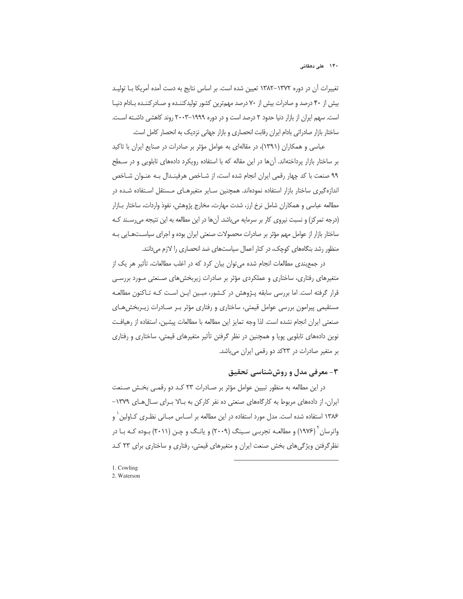تغییرات آن در دوره ۱۳۷۲–۱۳۸۲ تعیین شده است. بر اساس نتایج به دست آمده آمریکا بــا تولیــد بیش از ۴۰ درصد و صادرات بیش از ۷۰ درصد مهمترین کشور تولیدکننـده و صـادرکننـده بـادام دنیـا است. سهم ایران از بازار دنیا حدود ۲ درصد است و در دوره ۱۹۹۹–۲۰۰۳ روند کاهشی داشته است. ساختار بازار صادراتی بادام ایران رقابت انحصاری و بازار جهانی نزدیک به انحصار کامل است.

عباسی و همکاران (۱۳۹۱)، در مقالهای به عوامل مؤثر بر صادرات در صنایع ایران با تاکید بر ساختار بازار پرداختهاند. آنها در این مقاله که با استفاده رویکرد دادههای تابلویی و در سـطح ۹۹ صنعت با کد چهار رقمی ایران انجام شده است، از شـاخص هرفینـدال بـه عنـوان شـاخص اندازهگیری ساختار بازار استفاده نمودهاند. همچنین سـایر متغیرهـای مـستقل اسـتفاده شـده در مطالعه عباسی و همکاران شامل نرخ ارز، شدت مهارت، مخارج پژوهش، نفوذ واردات، ساختار بــازار (درجه تمرکز) و نسبت نیروی کار بر سرمایه میباشد. آنها در این مطالعه به این نتیجه می رسـند کـه ساختار بازار از عوامل مهم مؤثر بر صادرات محصولات صنعتی ایران بوده و اجرای سیاستهایی به منظور رشد بنگاههای کوچک، در کنار اعمال سیاستهای ضد انحصاری را لازم می دانند.

در جمع بندی مطالعات انجام شده می توان بیان کرد که در اغلب مطالعات، تأثیر هر یک از متغیرهای رفتاری، ساختاری و عملکردی مؤثر بر صادرات زیربخشهای صنعتی مـورد بررسـی قرار گرفته است. اما بررسی سابقه پـژوهش در کـشور، مبـین ایـن اسـت کـه تـاکنون مطالعـه مستقیمی پیرامون بررسی عوامل قیمتی، ساختاری و رفتاری مؤثر بـر صـادرات زیـربخش هـای صنعتی ایران انجام نشده است. لذا وجه تمایز این مطالعه با مطالعات پیشین، استفاده از رهیافت نوین دادههای تابلویی پویا و همچنین در نظر گرفتن تأثیر متغیرهای قیمتی، ساختاری و رفتاری بر متغیر صادرات در ٢٣كد دو رقمی ایران میباشد.

# ۳- معرفی مدل و روششناسی تحقیق

در این مطالعه به منظور تبیین عوامل مؤثر بر صـادرات ٢٣ کـد دو رقمـی بخـش صـنعت ایران، از دادههای مربوط به کارگاههای صنعتی ده نفر کارکن به بالا بـرای سـالهـای ۱۳۷۹– ۱۳۸۶ استفاده شده است. مدل مورد استفاده در این مطالعه بر اسـاس مبـانی نظـری کـاولین ٰ و واترسان ٔ (۱۹۷۶) و مطالعـه تجربـی سـینگ (۲۰۰۹) و یانـگ و چـن (۲۰۱۱) بـوده کـه بـا در نظر گرفتن ویژگیهای بخش صنعت ایران و متغیرهای قیمتی، رفتاری و ساختاری برای ۲۳ کد

1. Cowling 2. Waterson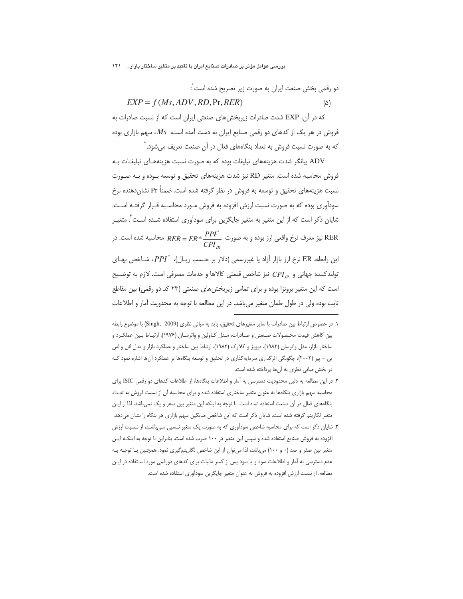بررسی عوامل مؤثر بر صادرات صنایع ایران با تاکید بر متغیر ساختار بازار… ۱۴۱

و رقمی بخش صنعت ایران به صورت زیر تصریح شده است':  
\n
$$
EXP = f(Ms, ADV, RD, Pr, RER)
$$
\n(A)

که در آن، EXP شدت صادرات زیربخش های صنعتی ایران است که از نسبت صادرات به فروش در هر یک از کدهای دو رقمی صنایع ایران به دست آمده است،  $\mathit{Ms}$ ، سهم بازاری بوده که به صورت نسبت فروش به تعداد بنگاههای فعال در آن صنعت تعریف می شود.<sup>۲</sup>

ADV بیانگر شدت هزینههای تبلیغات بوده که به صورت نسبت هزینههـای تبلیغـات بـه فروش محاسبه شده است. متغیر RD نیز شدت هزینههای تحقیق و توسعه بـوده و بـه صـورت نسبت هزینههای تحقیق و توسعه به فروش در نظر گرفته شده است. ضمناً Pr نشاندهنده نرخ سودآوری بوده که به صورت نسبت ارزش افزوده به فروش مـورد محاسـبه قـرار گرفتـه اسـت. شایان ذکر است که از این متغیر به متغیر جایگزین برای سودآوری استفاده شـده اسـت ٌ. متغیــر نیز معرف نرخ واقعی ارز بوده و به صورت  $\frac{PPI^*}{CPI}$   $RER = ER* \frac{PPI^*}{CPI}$  محاسبه شده است. در این رابطه، ER نرخ ارز بازار آزاد یا غیررسمی (دلار بر حسب ریال)، "PPI، شاخص بهای تولیدکننده جهانی و CPI یز شاخص قیمتی کالاها و خدمات مصرفی است. لازم به توضیح است که این متغیر برونزا بوده و برای تمامی زیربخش های صنعتی (۲۳ کد دو رقمی) بین مقاطع ثابت بوده ولی در طول طمان متغیر میباشد. در این مطالعه با توجه به محدویت آمار و اطلاعات

١. در خصوص ارتباط بين صادرات با ساير متغيرهاى تحقيق، بايد به مبانى نظرى (Singh, 2009) با موضوع رابطه بین کاهش قیمت محـصولات صـنعتی و صـادرات، مـدل کـاولین و واترسـان (۱۹۷۶)، ارتبـاط بـین عملکـرد و ساختار بازار، مدل واترسان (۱۹۸۲)، دیویز و کلارک (۱۹۸۲)، ارتباط بین ساختار و عملکرد بازار و مدل انل و اس تی - پیر (۲۰۰۲)، چگونگی اثرگذاری سرمایهگذاری در تحقیق و توسعه بنگاهها بر عملکرد آنها اشاره نمود ک در بخش مبانی نظری به آنها پرداخته شده است.

۲. در این مطالعه به دلیل محدودیت دسترسی به آمار و اطلاعات بنگاهها، از اطلاعات کدهای دو رقمی ISIC برای محاسبه سهم بازاری بنگاهها به عنوان متغیر ساختاری استفاده شده و برای محاسبه آن از نسبت فروش به تعـداد بنگاههای فعال در آن صنعت استفاده شده است. با توجه به اینکه این متغیر بین صفر و یک نمیباشد، لذا از ایـن متغیر لگاریتم گرفته شده است. شایان ذکر است که این شاخص میانگین سهم بازاری هر بنگاه را نشان میدهد.

۳. شایان ذکر است که برای محاسبه شاخص سودآوری که به صورت یک متغیر نــسبی مـیباشـد، از نــسبت ارزش افزوده به فروش صنایع استفاده شده و سپس این متغیر در ۱۰۰ ضرب شده است. بنابراین با توجه به اینکـه ایـن متغیر بین صفر و صد (۰ و ۱۰۰) میباشد، لذا می توان از این شاخص لگاریتم گیری نمود. همچنین بـا توجـه بـه عدم دسترسی به آمار و اطلاعات سود و یا سود پس از کسر مالیات برای کدهای دورقمی مورد استفاده در ایـن مطالعه، از نسبت ارزش افزوده به فروش به عنوان متغير جايگزين سودآوري استفاده شده است.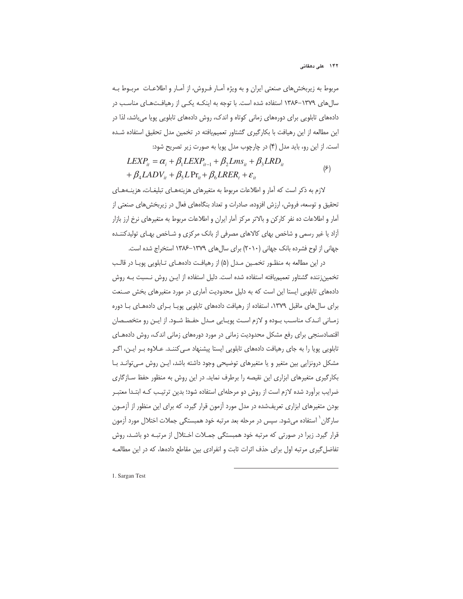مربوط به زیربخشهای صنعتی ایران و به ویژه آمـار فـروش، از آمـار و اطلاعـات مربــوط بــه سال های ۱۳۷۹–۱۳۸۶ استفاده شده است. با توجه به اینکـه یکـی از رهیافـتهـای مناسـب در دادههای تابلویی برای دورههای زمانی کوتاه و اندک، روش دادههای تابلویی پویا میباشد، لذا در این مطالعه از این رهیافت با بکارگیری گشتاور تعمیمیافته در تخمین مدل تحقیق استفاده شده است. از این رو، باید مدل (۴) در چارچوب مدل یویا به صورت زیر تصریح شود:

$$
LEXP_{it} = \alpha_i + \beta_1 LEXP_{it-1} + \beta_2 Lms_{it} + \beta_3 LRD_{it}
$$
  
+  $\beta_4 LADV_{it} + \beta_5 LPr_{it} + \beta_6 LRER_t + \varepsilon_{it}$  (9)

لازم به ذکر است که آمار و اطلاعات مربوط به متغیرهای هزینههـای تبلیغـات، هزینــههـای تحقیق و توسعه، فروش، ارزش افزوده، صادرات و تعداد بنگاههای فعال در زیربخش های صنعتی از آمار و اطلاعات ده نفر کارکن و بالاتر مرکز آمار ایران و اطلاعات مربوط به متغیرهای نرخ ارز بازار آزاد یا غیر رسمی و شاخص بهای کالاهای مصرفی از بانک مرکزی و شـاخص بهـای تولیدکننـده جهانی از لوح فشرده بانک جهانی (٢٠١٠) برای سال های ١٣٧٩-١٣٨۶ استخراج شده است.

در این مطالعه به منظـور تخمـین مـدل (۵) از رهیافـت دادههــای تــابلویی پویــا در قالــب تخمین; ننده گشتاور تعمیمیافته استفاده شده است. دلیل استفاده از ایـن روش نـسبت بـه روش دادههای تابلویی ایستا این است که به دلیل محدودیت آماری در مورد متغیرهای بخش صـنعت برای سال های ماقبل ۱۳۷۹، استفاده از رهیافت دادههای تابلویی پویـا بـرای دادههـای بـا دوره زمـانی انـدک مناسـب بـوده و لازم اسـت یویـایی مـدل حفـظ شـود. از ایـن رو متخصـصان اقتصادسنجی برای رفع مشکل محدودیت زمانی در مورد دورههای زمانی اندک، روش دادههـای تابلویی پویا را به جای رهیافت دادههای تابلویی ایستا پیشنهاد مـی کننـد. عـلاوه بـر ایـن، اگـر مشکل درونزایی بین متغیر و یا متغیرهای توضیحی وجود داشته باشد، ایـن روش مـیتوانـد بـا بکارگیری متغیرهای ابزاری این نقیصه را برطرف نماید. در این روش به منظور حفظ سازگاری ضرایب برآورد شده لازم است از روش دو مرحلهای استفاده شود؛ بدین ترتیـب کـه ابتـدا معتبـر بودن متغیرهای ابزاری تعریفشده در مدل مورد آزمون قرار گیرد، که برای این منظور از آزمـون سارگان` استفاده میشود. سپس در مرحله بعد مرتبه خود همبستگی جملات اختلال مورد آزمون قرار گیرد. زیرا در صورتی که مرتبه خود همبستگی جمـلات اخـتلال از مرتبـه دو باشـد، روش تفاضل گیری مرتبه اول برای حذف اثرات ثابت و انفرادی بین مقاطع دادهها، که در این مطالعـه

1. Sargan Test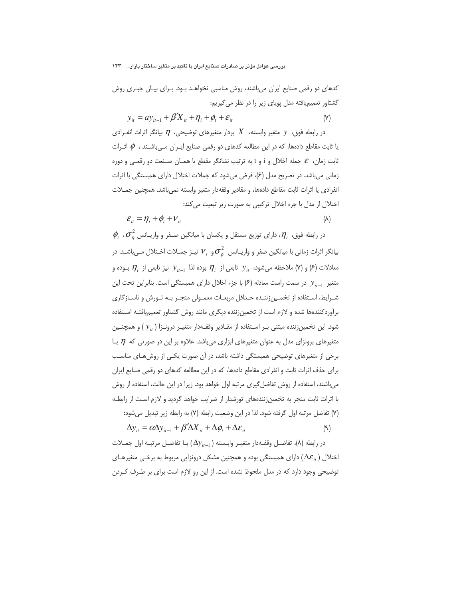کدهای دو رقمی صنایع ایران میباشند، روش مناسبی نخواهـد بـود. بـرای بیـان جبـری روش گشتاور تعمیمیافته مدل پویای زیر را در نظر می گیریم:

$$
y_{it} = ay_{it-1} + \beta' X_{it} + \eta_i + \phi_t + \varepsilon_{it}
$$
 (Y)

در رابطه فوق، y متغیر وابسته،  $X$  بردار متغیرهای توضیحی،  $\eta$  بیانگر اثرات انفـرادی یا ثابت مقاطع دادهها، که در این مطالعه کدهای دو رقمی صنایع ایـران مـی،باشـند ،  $\phi$  اثـرات ثابت زمان،  $\varepsilon$  جمله اخلال و i و t به ترتیب نشانگر مقطع یا همـان صـنعت دو رقمـی و دوره زمانی می باشد. در تصریح مدل (۶)، فرض می شود که جملات اختلال دارای همبستگی با اثرات انفرادي يا اثرات ثابت مقاطع دادهها، و مقادير وقفهدار متغير وابسته نمي،باشد. همچنين جمــلات اختلال از مدل با جزء اخلال ترکیبی به صورت زیر تبعیت می کند:

$$
\mathcal{E}_{it} = \eta_i + \phi_t + \nu_{it} \tag{A}
$$

 $\phi$ در رابطه فوق،  $\eta_i$ ، دارای توزیع مستقل و یکسان با میانگین صـفر و واریــانس  $\sigma_n$ ،  $\eta$ بیانگر اثرات زمانی با میانگین صفر و واریـانس  $\sigma_{\rm \phi}^2$ و  $V_{\rm t}$  نیـز جمـلات اخـتلال مـی،اشـد. در معادلات (۶) و (۷) ملاحظه میشود،  $y_{it}$  تابعی از  $\eta_i$  بوده لذا  $y_{it-1}$  نیز تابعی از  $\eta_i$  بوده و متغیر  $y_{i-1}$  در سمت راست معادله (۶) با جزء اخلال دارای همبستگی است. بنابراین تحت این شـرايط، اسـتفاده از تخمـين;ننـده حـداقل مربعـات معمـولي منجـر بـه تـورش و ناسـازگاري برأوردكنندهها شده و لازم است از تخمین زننده دیگری مانند روش گشتاور تعمیمیافتـه اسـتفاده شود. این تخمینزننده مبتنی بـر اسـتفاده از مقـادیر وقفـهدار متغیـر درونـزا (  $y_{it}$ ) و همچنـین متغیرهای برونزای مدل به عنوان متغیرهای ابزاری میباشد. علاوه بر این در صورتی که  $\eta$  بـا برخی از متغیرهای توضیحی همبستگی داشته باشد، در آن صورت یکـی از روشهـای مناسـب برای حذف اثرات ثابت و انفرادی مقاطع دادهها، که در این مطالعه کدهای دو رقمی صنایع ایران می باشند، استفاده از روش تفاضل گیری مرتبه اول خواهد بود. زیرا در این حالت، استفاده از روش با اثرات ثابت منجر به تخمین;نندههای تورشدار از ضرایب خواهد گردید و لازم است از رابطـه (٧) تفاضل مرتبه اول گرفته شود. لذا در این وضعیت رابطه (٧) به رابطه زیر تبدیل میشود:

$$
\Delta y_{it} = \alpha \Delta y_{it-1} + \beta' \Delta X_{it} + \Delta \phi_t + \Delta \varepsilon_{it}
$$
\n(9)

در رابطه (۸)، تفاضـل وقفــهدار متغيــر وابــسته ( ۱\_Ay) بــا تفاضــل مرتبــه اول جمــلات اختلال (  $\Delta\varepsilon_{_{it}}$  دارای همبستگی بوده و همچنین مشکل درونزایی مربوط به برخـی متغیرهـای توضیحی وجود دارد که در مدل ملحوظ نشده است. از این رو لازم است برای بر طـرف کـردن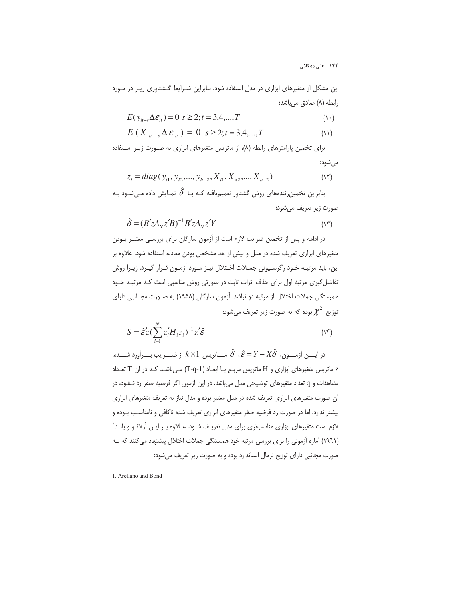۱۴۴ علی دهقانی

این مشکل از متغیرهای ابزاری در مدل استفاده شود. بنابراین شـرایط گـشتاوری زیـر در مـورد رابطه (٨) صادق مي باشد:

$$
E(y_{it-s}\Delta \varepsilon_{it}) = 0 \quad s \ge 2; t = 3, 4, \dots, T \tag{3.1}
$$

$$
E(X_{it-s} \Delta \varepsilon_{it}) = 0 \quad s \ge 2; t = 3, 4, ..., T \tag{1}
$$

برای تخمین پارامترهای رابطه (۸)، از ماتریس متغیرهای ابزاری به صـورت زیـر اسـتفاده مي شود:

$$
z_i = diag(y_{i1}, y_{i2},..., y_{it-2}, X_{i1}, X_{u2},..., X_{it-2})
$$
\n(17)

بنابراین تخمینزنندههای روش گشتاور تعمیمیافته کـه بـا $\hat{\delta}$  نمـایش داده مـیشـود بـه صورت زير تعريف ميشود:

$$
\hat{\delta} = (B' z A_N z' B)^{-1} B' z A_N z' Y
$$
\n<sup>(17)</sup>

در ادامه و پس از تخمین ضرایب لازم است از آزمون سارگان برای بررسـی معتبـر بـودن متغیرهای ابزاری تعریف شده در مدل و بیش از حد مشخص بودن معادله استفاده شود. علاوه بر این، باید مرتبـه خـود رگرسـیونی جمـلات اخـتلال نیـز مـورد آزمـون قـرار گیـرد. زیـرا روش تفاضل گیری مرتبه اول برای حذف اثرات ثابت در صورتی روش مناسبی است کـه مرتبـه خـود همبستگی جملات اختلال از مرتبه دو نباشد. آزمون سارگان (۱۹۵۸) به صـورت مجـانبی دارای توزیع  $\chi^2$  بوده که به صورت زیر تعریف میشود:

$$
S = \hat{\mathcal{E}}' \langle \sum_{i=1}^{N} z_i' H_i z_i \rangle^{-1} z' \hat{\mathcal{E}}
$$

در ايــــن آزمــــون،  $\hat{\delta}$  .  $\hat{\varepsilon} = Y - X\hat{\delta}$  مـــاتريس  $k \times 1$  از ضــــرايب بــــرآورد شــــده، z ماتریس متغیرهای ابزاری و H ماتریس مربع بـا ابعـاد (T-q-1) مـیباشـد کـه در آن T تعـداد مشاهدات و q تعداد متغیرهای توضیحی مدل می باشد. در این آزمون اگر فرضیه صفر رد نــشود، در آن صورت متغیرهای ابزاری تعریف شده در مدل معتبر بوده و مدل نیاز به تعریف متغیرهای ابزاری بیشتر ندارد. اما در صورت رد فرضیه صفر متغیرهای ابزاری تعریف شده ناکافی و نامناسب بوده و لازم است متغیرهای ابزاری مناسبتری برای مدل تعریـف شـود. عـلاوه بـر ایـن آرلانـو و بانـد ٰ (۱۹۹۱) آماره آزمونی را برای بررسی مرتبه خود همبستگی جملات اختلال پیشنهاد می کنند که بـه صورت مجانبی دارای توزیع نرمال استاندارد بوده و به صورت زیر تعریف می شود:

1. Arellano and Bond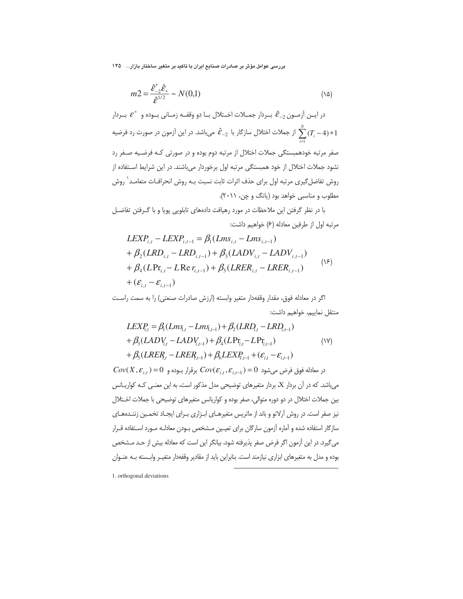بررسی عوامل مؤثر بر صادرات صنایع ایران با تاکید بر متغیر ساختار بازار… ۱۴۵

$$
m2 = \frac{\hat{\varepsilon}_{-2}'\hat{\varepsilon}_*}{\hat{\varepsilon}^{1/2}} \sim N(0,1)
$$
 (12)

در ایــن آزمــون  $\hat{\mathcal{E}}_{-2}$  بــردار جمــلات اخــتلال بــا دو وقفــه زمــانی بــوده و  $\mathcal{E}^*$  بــردار از جملات اختلال سازگار با  $\hat{\mathcal{E}}_{-2}$  میباشد. در این آزمون در صورت رد فرضیه  $\sum_{-1}^N (T_i-4)*1$ صفر مرتبه خودهمبستگی جملات اختلال از مرتبه دوم بوده و در صورتی کـه فرضـیه صـفر رد نشود جملات اختلال از خود همبستگی مرتبه اول برخوردار میباشند. در این شرایط استفاده از روش تفاضل گیری مرتبه اول برای حذف اثرات ثابت نسبت بـه روش انحرافـات متعامـد<sup>\</sup> روش مطلوب و مناسبی خواهد بود (یانگ و چن، ۲۰۱۱).

با در نظر گرفتن این ملاحظات در مورد رهیافت دادههای تابلویی پویا و با گـرفتن تفاضـل مرتبه اول از طرفین معادله (۶) خواهیم داشت:

$$
LEXP_{i,t} - LEXP_{i,t-1} = \beta_1(Lms_{i,t} - Lms_{i,t-1})
$$
  
+  $\beta_2(LRD_{i,t} - LRD_{i,t-1}) + \beta_3(LADV_{i,t} - LADV_{i,t-1})$   
+  $\beta_4(LPr_{i,t} - LRe r_{i,t-1}) + \beta_5(LRER_{i,t} - LRER_{i,t-1})$  (15)  
+  $(\varepsilon_{i,t} - \varepsilon_{i,t-1})$ 

اگر در معادله فوق، مقدار وقفهدار متغیر وابسته (ارزش صادرات صنعتی) را به سمت راست منتقل نماييم، خواهيم داشت:

$$
LEX_{i,t}^p = \beta_1(Lm_{i,t} - Lm_{i,t-1}) + \beta_2(LR_{i,t} - LR_{i,t-1})
$$
  
+  $\beta_3(LAD_{i,t} - LAD_{i,t-1}) + \beta_4(LPr_{i,t} - LPr_{i,t-1})$  (19)  
+  $\beta_5(LRER_{i,t} - LRER_{i,t-1}) + \beta_6LEX_{i,t-1} + (\varepsilon_{i,t} - \varepsilon_{i,t-1})$ 

 $Cov(X, \mathcal{E}_{i,t}) = 0$  در معادله فوق فرض می شود  $Cov(\mathcal{E}_{i,t}, \mathcal{E}_{i,t-1}) = 0$  برقرار بـوده و می باشد. که در آن بردار X، بردار متغیرهای توضیحی مدل مذکور است، به این معنـی کـه کواریـانس بین جملات اختلال در دو دوره متوالی، صفر بوده و کواریانس متغیرهای توضیحی با جملات اختلال نیز صفر است. در روش آرلانو و باند از ماتریس متغیرهـای ابـزاری بـرای ایجـاد تخمـین زننـدههـای سازگار استفاده شده و آماره آزمون سارگان برای تعیین مـشخص بـودن معادلـه مـورد اسـتفاده قـرار می گیرد. در این آزمون اگر فرض صفر پذیرفته شود، بیانگر این است که معادله بیش از حـد مـشخص بوده و مدل به متغیرهای ابزاری نیازمند است. بنابراین باید از مقادیر وقفهدار متغیـر وابـسته بـه عنـوان

1. orthogonal deviations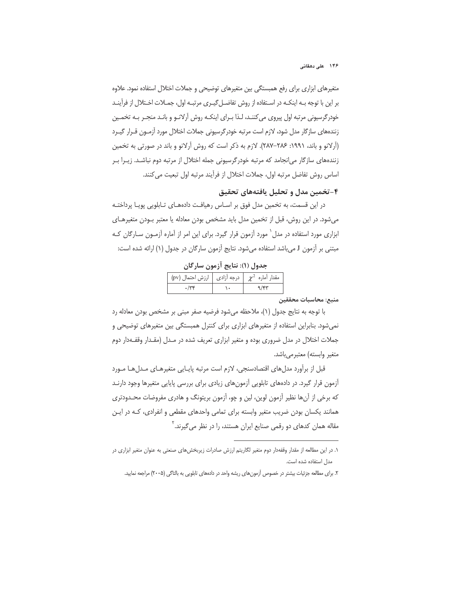۱۴۶ علی دهقانی

متغیرهای ابزاری برای رفع همبستگی بین متغیرهای توضیحی و جملات اختلال استفاده نمود. علاوه بر این با توجه بـه اینکـه در اسـتفاده از روش تفاضـل¢یـری مرتبـه اول، جمـلات اخـتلال از فرآینـد خودر گرسیونی مرتبه اول پیروی می کننـد، لـذا بـرای اینکـه روش آرلانـو و بانـد منجـر بـه تخمـین زنندههای سازگار مدل شود، لازم است مرتبه خودرگرسیونی جملات اختلال مورد آزمـون قـرار گیـرد (اَرلانو و باند، ۱۹۹۱: ۲۸۶-۲۸۷). لازم به ذکر است که روش اَرلانو و باند در صورتی به تخمین زنندههای سازگار می|نجامد که مرتبه خودرگرسیونی جمله اختلال از مرتبه دوم نباشـد. زیـرا بـر اساس روش تفاضل مرتبه اول، جملات اختلال از فرآيند مرتبه اول تبعيت مى كنند.

۴-تخمین مدل و تحلیل یافتههای تحقیق

در این قسمت، به تخمین مدل فوق بر اسـاس رهیافـت دادههـای تـابلویی پویـا پرداختـه می شود. در این روش، قبل از تخمین مدل باید مشخص بودن معادله یا معتبر بودن متغیرهای ابزاری مورد استفاده در مدل ٰ مورد آزمون قرار گیرد. برای این امر از آماره آزمــون ســارگان کــه مبتنی بر آزمون J میباشد استفاده میشود. نتایج آزمون سارگان در جدول (۱) ارائه شده است:

| $\left(\text{pv}\right)$ مقدار آماره $\chi^2$   درجه آزادی   ارزش احتمال |  |  |  |
|--------------------------------------------------------------------------|--|--|--|
|                                                                          |  |  |  |

حدول (۱): نتايج آزمون سارگان

#### منبع: محاسبات محققين

با توجه به نتايج جدول (١)، ملاحظه مي شود فرضيه صفر مبنى بر مشخص بودن معادله رد نمیشود. بنابراین استفاده از متغیرهای ابزاری برای کنترل همبستگی بین متغیرهای توضیحی و جملات اختلال در مدل ضروری بوده و متغیر ابزاری تعریف شده در مـدل (مقـدار وقفـهدار دوم متغير وابسته) معتبرمي باشد.

قبل از برآورد مدلهای اقتصادسنجی، لازم است مرتبه پایـایی متغیرهـای مـدلهـا مـورد آزمون قرار گیرد. در دادههای تابلویی آزمونهای زیادی برای بررسی پایایی متغیرها وجود دارنـد که برخی از آنها نظیر آزمون لوین، لین و چو، آزمون بریتونگ و هادری مفروضات محـدودتری همانند یکسان بودن ضریب متغیر وابسته برای تمامی واحدهای مقطعی و انفرادی، کـه در ایـن مقاله همان کدهای دو رقمی صنایع ایران هستند، را در نظر میگیرند. <sup>۲</sup>

١. در اين مطالعه از مقدار وقفهدار دوم متغير لكاريتم ارزش صادرات زيربخش هاى صنعتى به عنوان متغير ابزارى در مدل استفاده شده است.

۲. برای مطالعه جزئیات بیشتر در خصوص آزمونهای ریشه واحد در دادههای تابلویی به بالتاگی (۲۰۰۵) مراجعه نمایید.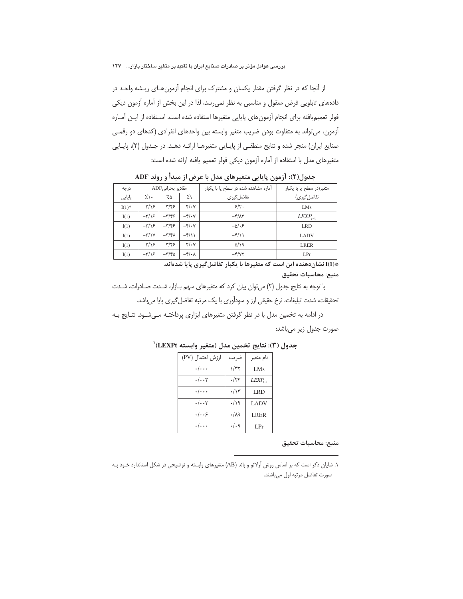از آنجا که در نظر گرفتن مقدار یکسان و مشترک برای انجام آزمون هـای ریـشه واحـد در دادههای تابلویی فرض معقول و مناسبی به نظر نمیرسد، لذا در این بخش از آماره آزمون دیکی فولر تعميم يافته براي انجام آزمون هاي پايايي متغيرها استفاده شده است. استفاده از ايـن آمـاره آزمون، می تواند به متفاوت بودن ضریب متغیر وابسته بین واحدهای انفرادی (کدهای دو رقمی صنایع ایران) منجر شده و نتایج منطقی از پایایی متغیرها ارائـه دهـد. در جـدول (۲)، پایـایی متغيرهاي مدل با استفاده از آماره آزمون ديكي فولر تعميم يافته ارائه شده است:

| درجه     |                | مقادير بحراني ADF          |                                           | آماره مشاهده شده در سطح یا با یکبار  | متغیر(در سطح یا با یکبار |
|----------|----------------|----------------------------|-------------------------------------------|--------------------------------------|--------------------------|
| پایایی   | $\gamma$ .     | 7.۵                        | $\frac{1}{2}$                             | تفاضل گیری                           | تفاضل گیر ی)             |
| $I(1)$ * | $-\frac{r}{s}$ | $-\frac{1}{2}\frac{1}{2}$  | $-\frac{\rho}{\sqrt{2}}$                  | $-\frac{\mathcal{S}}{\mathcal{S}}$ . | LM <sub>s</sub>          |
| I(1)     | $-\frac{r}{s}$ | $-\mathbf{r}/\mathbf{r}$   | $-\frac{\varepsilon}{2} \cdot \mathbf{V}$ | $-\mathcal{F}/\Lambda\mathcal{F}$    | $LEXP_{t-1}$             |
| I(1)     | $-\frac{r}{s}$ | $-\mathbf{y}/\mathbf{z}$   | $-\frac{\rho}{\sqrt{2}}$                  | $-\Delta/\cdot 5$                    | <b>LRD</b>               |
| I(1)     | $-\frac{y}{x}$ | $-\mathbf{r}/\mathbf{r}$   | $-\frac{\rho}{\sqrt{2}}$                  | $-\frac{\rho}{\sqrt{}}$              | <b>LADV</b>              |
| I(1)     | $-\frac{r}{s}$ | $-\mathbf{y}/\mathbf{x}$   | $-\frac{\rho}{\sqrt{2}}$                  | $-\Delta/\lambda$                    | <b>LRER</b>              |
| I(1)     | $-\frac{r}{s}$ | $-\mathsf{r}/\mathsf{r}$ 5 | $-\mathbf{f}/\cdot \mathbf{A}$            | $-\frac{\varepsilon}{\varepsilon}$   | LPr                      |

جدول(٢): آزمون پایایی متغیرهای مدل با عرض از مبدأ و روند ADF

\*(I)I نشاندهنده این است که متغیرها با یکبار تفاضل *گ*یری پایا شدهاند.

منبع: محاسبات تحقيق

با توجه به نتایج جدول (٢) می توان بیان کرد که متغیرهای سهم بازار، شدت صادرات، شدت تحقیقات، شدت تبلیغات، نرخ حقیقی ارز و سودآوری با یک مرتبه تفاضل گیری پایا می باشد.

در ادامه به تخمین مدل با در نظر گرفتن متغیرهای ابزاری پرداختـه مـی شـود. نتـایج بـه

صورت جدول زير ميباشد:

| ارزش احتمال (PV)     | ضريب            | نام متغير    |
|----------------------|-----------------|--------------|
| $\cdot/\cdots$       | $1/\tau\tau$    | LMs          |
| $\cdot/\cdot\cdot$ ۳ | $\cdot$ /۲۴     | $LEXP_{t-1}$ |
| $\cdot/\cdots$       | $\cdot/\gamma$  | LRD          |
| $\cdot/\cdot\cdot$ ۳ | $\cdot/\gamma$  | <b>LADV</b>  |
| .  . . 8             | .44             | <b>LRER</b>  |
| . /                  | $\cdot/\cdot$ ٩ | LPr          |

جدول (٣): نتايج تخمين مدل (متغير وابسته LEXPt)'

منبع: محاسبات تحقيق

۱. شایان ذکر است که بر اساس روش آرلانو و باند (AB) متغیرهای وابسته و توضیحی در شکل استاندارد خـود بـه صورت تفاضل مرتبه اول مى باشند.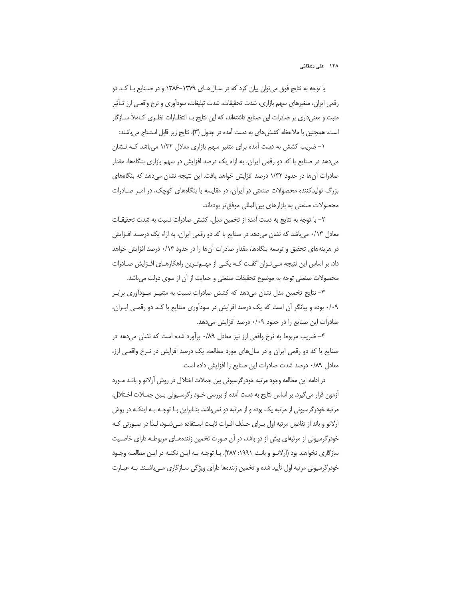با توجه به نتایج فوق می توان بیان کرد که در سـالهـای ۱۳۷۹–۱۳۸۶ و در صـنایع بـا کـد دو رقمی ایران، متغیرهای سهم بازاری، شدت تحقیقات، شدت تبلیغات، سودآوری و نرخ واقعـی ارز تـأثیر مثبت و معنی داری بر صادرات این صنایع داشتهاند، که این نتایج بـا انتظـارات نظـری کـاملاً ســازگار است. همچنین با ملاحظه کشش های به دست آمده در جدول (۳)، نتایج زیر قابل استنتاج می باشند:

۱– ضریب کشش به دست آمده برای متغیر سهم بازاری معادل ۱/۳۲ می باشد کـه نـشان میدهد در صنایع با کد دو رقمی ایران، به ازاء یک درصد افزایش در سهم بازاری بنگاهها، مقدار صادرات آنها در حدود ۱/۳۲ درصد افزایش خواهد یافت. این نتیجه نشان میدهد که بنگاههای بزرگ تولیدکننده محصولات صنعتی در ایران، در مقایسه با بنگاههای کوچک، در امـر صـادرات محصولات صنعتی به بازارهای بین المللی موفق تر بودهاند.

٢– با توجه به نتايج به دست آمده از تخمين مدل، كشش صادرات نسبت به شدت تحقيقـات معادل ۰/۱۳ میباشد که نشان میدهد در صنایع با کد دو رقمی ایران، به ازاء یک درصد افـزایش در هزینههای تحقیق و توسعه بنگاهها، مقدار صادرات آنها را در حدود ۰/۱۳ درصد افزایش خواهد داد. بر اساس این نتیجه مـی تـوان گفـت کـه یکـی از مهـمتـرین راهکارهـای افـزایش صـادرات محصولات صنعتی توجه به موضوع تحقیقات صنعتی و حمایت از آن از سوی دولت می باشد.

۳– نتایج تخمین مدل نشان می دهد که کشش صادرات نسبت به متغیـر سـودآوری برابـر ۰/۰۹ بوده و بیانگر آن است که یک درصد افزایش در سودآوری صنایع با کـد دو رقمـی ایـران، صادرات این صنایع را در حدود ۰/۰۹ درصد افزایش میدهد.

۴– ضریب مربوط به نرخ واقعی ارز نیز معادل ۰/۸۹ برآورد شده است که نشان میدهد در صنایع با کد دو رقمی ایران و در سال های مورد مطالعه، یک درصد افزایش در نـرخ واقعـی ارز، معادل ٠/٨٩ درصد شدت صادرات اين صنايع را افزايش داده است.

در ادامه این مطالعه وجود مرتبه خودرگرسیونی بین جملات اختلال در روش آرلانو و بانـد مـورد آزمون قرار میگیرد. بر اساس نتایج به دست آمده از بررسی خـود رگرسـیونی بـین جمـلات اخـتلال، مرتبه خودرگرسیونی از مرتبه یک بوده و از مرتبه دو نمی باشد. بنـابراین بـا توجـه بـه اینکـه در روش آرلانو و باند از تفاضل مرتبه اول بـراي حـذف اثـرات ثابـت اسـتفاده مـيشـود، لـذا در صـورتي كـه خودرگرسیونی از مرتبهای بیش از دو باشد، در آن صورت تخمین زنندههـای مربوطـه دارای خاصـیت سازگاری نخواهند بود (اَرلانـو و بانـد، ۱۹۹۱: ۲۸۷). بـا توجـه بـه ایـن نکتـه در ایـن مطالعـه وجـود خودر گرسیونی مرتبه اول تأیید شده و تخمین زنندهها دارای ویژگی سـازگاری مـی،باشـند. بـه عبـارت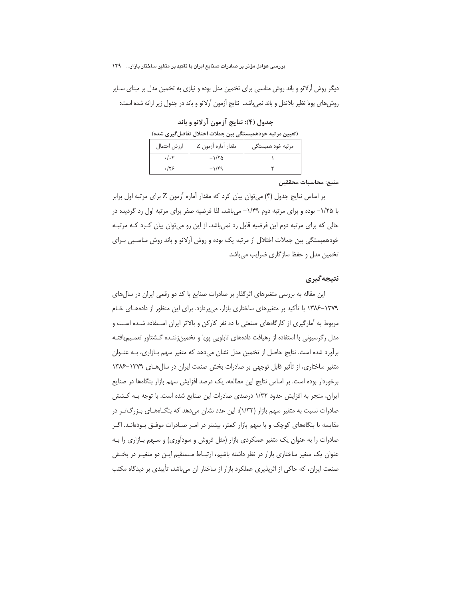دیگر روش اَرلانو و باند روش مناسبی برای تخمین مدل بوده و نیازی به تخمین مدل بر مبنای سـایر روش های یویا نظیر بلاندل و باند نمی باشد. نتایج آزمون آرلانو و باند در جدول زیر ارائه شده است:

جدول (۴): نتايج آزمون آرلانو و باند

| ِ تعیین مر تبه خودهمبستگی بین جملات اختلال تفاضل ًیری شده) |  |  |
|------------------------------------------------------------|--|--|
|------------------------------------------------------------|--|--|

| ارزش احتمال   | مقدار أماره أزمون Z           | مرتبه خود همبستگی |
|---------------|-------------------------------|-------------------|
| $.$ / $.\,$ ۴ | $-\frac{1}{\alpha}$           |                   |
| .159          | $-1/\mathfrak{r}\mathfrak{q}$ |                   |

منبع: محاسبات محققين

بر اساس نتایج جدول (۴) میتوان بیان کرد که مقدار آماره آزمون Z برای مرتبه اول برابر با ۱/۲۵– بوده و برای مرتبه دوم ۱/۴۹– می باشد، لذا فرضیه صفر برای مرتبه اول رد گردیده در حالي كه براي مرتبه دوم اين فرضيه قابل رد نمي باشد. از اين رو مي توان بيان كـرد كـه مرتبـه خودهمبستگی بین جملات اختلال از مرتبه یک بوده و روش آرلانو و باند روش مناسبی بـرای تخمین مدل و حفظ سازگاری ضرایب میباشد.

### نتبجەگىرى

این مقاله به بررسی متغیرهای اثرگذار بر صادرات صنایع با کد دو رقمی ایران در سالهای ۱۳۷۹–۱۳۸۶ با تأکید بر متغیرهای ساختاری بازار، می پردازد. برای این منظور از دادههـای خـام مربوط به آمارگیری از کارگاههای صنعتی با ده نفر کارکن و بالاتر ایران استفاده شـده اسـت و مدل رگرسیونی با استفاده از رهیافت دادههای تابلویی پویا و تخمین;ننـده گـشتاور تعمـیمیافتـه برآورد شده است. نتایج حاصل از تخمین مدل نشان میدهد که متغیر سهم بـازاری، بـه عنـوان متغیر ساختاری، از تأثیر قابل توجهی بر صادرات بخش صنعت ایران در سال های ۱۳۷۹–۱۳۸۶ برخوردار بوده است. بر اساس نتایج این مطالعه، یک درصد افزایش سهم بازار بنگاهها در صنایع ایران، منجر به افزایش حدود ۱/۳۲ درصدی صادرات این صنایع شده است. با توجه بـه کـشش صادرات نسبت به متغیر سهم بازار (۱/۳۲)، این عدد نشان میدهد که بنگـاههـای بـزرگتـر در مقایسه با بنگاههای کوچک و با سهم بازار کمتر، بیشتر در امـر صـادرات موفـق بـودهانـد. اگـر صادرات را به عنوان یک متغیر عملکردی بازار (مثل فروش و سودآوری) و سـهم بـازاری را بـه عنوان یک متغیر ساختاری بازار در نظر داشته باشیم، ارتبـاط مـستقیم ایـن دو متغیـر در بخـش صنعت ایران، که حاکی از اثریذیری عملکرد بازار از ساختار آن می باشد، تأییدی بر دیدگاه مکتب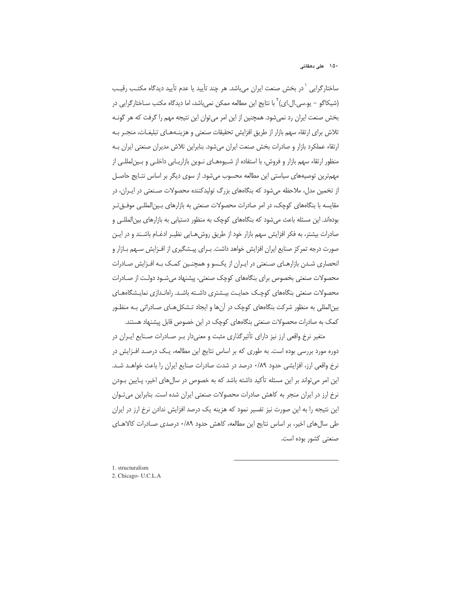ساختارگرایی <sup>۱</sup>در بخش صنعت ایران میباشد. هر چند تأیید یا عدم تأیید دیدگاه مکتـب رقیـب (شیکاگو – یو.سی.ال.ای)<sup>۲</sup> با نتایج این مطالعه ممکن نمی,باشد، اما دیدگاه مکتب ســاختارگرایی در بخش صنعت ایران رد نمیشود. همچنین از این امر میتوان این نتیجه مهم را گرفت که هر گونـه تلاش برای ارتقاء سهم بازار از طریق افزایش تحقیقات صنعتی و هزینـههـای تبلیغـات، منجـر بـه ارتقاء عملكرد بازار و صادرات بخش صنعت ايران مي شود. بنابراين تلاش مديران صنعتي ايران بـه منظور ارتقاء سهم بازار و فروش، با استفاده از شـيوههـاى نـوين بازاريـابى داخلـى و بـينلمللـى از مهم ترین توصیههای سیاستی این مطالعه محسوب می شود. از سوی دیگر بر اساس نتـایج حاصـل از تخمین مدل، ملاحظه میشود که بنگاههای بزرگ تولیدکننده محصولات صـنعتی در ایـران، در مقايسه با بنگاههاى كوچك، در امر صادرات محصولات صنعتى به بازارهاى بـين|لمللـى موفــقتــر بودهاند. این مسئله باعث میشود که بنگاههای کوچک به منظور دستیابی به بازارهای بین|لمللـی و صادرات بیشتر، به فکر افزایش سهم بازار خود از طریق روش هـایی نظیـر ادغـام باشـند و در ایـن صورت درجه تمر کز صنایع ایران افزایش خواهد داشت. بـرای پیـشگیری از افـزایش سـهم بـازار و انحصاری شـدن بازارهـای صـنعتی در ایـران از یکـسو و همچنـین کمـک بـه افـزایش صـادرات محصولات صنعتی بخصوص برای بنگاههای کوچک صنعتی، پیشنهاد میشـود دولـت از صـادرات محصولات صنعتی بنگاههای کوچک حمایـت بیـشتری داشـته باشـد. راهانـدازی نمایـشگاههـای بین|لمللی به منظور شرکت بنگاههای کوچک در آنها و ایجاد تـشکلهـای صـادراتی بـه منظـور کمک به صادرات محصولات صنعتی بنگاههای کوچک در این خصوص قابل پیشنهاد هستند.

متغیر نرخ واقعی ارز نیز دارای تأثیرگذاری مثبت و معنیدار بـر صـادرات صـنایع ایـران در دوره مورد بررسی بوده است. به طوری که بر اساس نتایج این مطالعه، یـک درصـد افـزایش در نرخ واقعی ارز، افزایشی حدود ۸۹/۰ درصد در شدت صادرات صنایع ایران را باعث خواهـد شـد. این امر میتواند بر این مسئله تأکید داشته باشد که به خصوص در سالهای اخیر، پـایین بـودن نرخ ارز در ایران منجر به کاهش صادرات محصولات صنعتی ایران شده است. بنابراین میتوان این نتیجه را به این صورت نیز تفسیر نمود که هزینه یک درصد افزایش ندادن نرخ ارز در ایران طی سال های اخیر، بر اساس نتایج این مطالعه، کاهش حدود ۰/۸۹ درصدی صـادرات کالاهـای صنعتی کشور بوده است.

-

1. structuralism 2. Chicago- U.C.L.A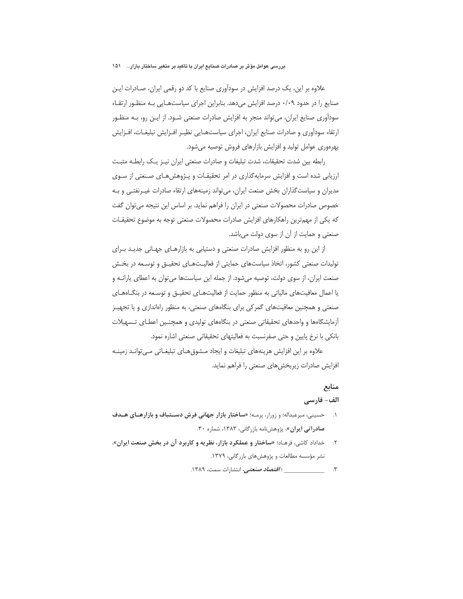علاوه بر این، یک درصد افزایش در سودآوری صنایع با کد دو رقمی ایران، صـادرات ایـن صنایع را در حدود ۰/۰۹ درصد افزایش می دهد. بنابراین اجرای سیاستهایی بـه منظـور ارتقـاء سودآوری صنایع ایران، می تواند منجر به افزایش صادرات صنعتی شـود. از ایـن رو، بـه منظـور ارتقاء سودآوری و صادرات صنایع ایران، اجرای سیاستهـایی نظیـر افـزایش تبلیغـات، افـزایش بهرهوري عوامل توليد و افزايش بازارهاي فروش توصيه مي شود.

رابطه بین شدت تحقیقات، شدت تبلیغات و صادرات صنعتی ایران نیـز یـک رابطـه مثبـت ارزیابی شده است و افزایش سرمایهگذاری در امر تحقیقـات و پـژوهش۵عـای صـنعتی از سـوی مدیران و سیاست گذاران بخش صنعت ایران، می تواند زمینههای ارتقاء صادرات غیـرنفتـی و بـه خصوص صادرات محصولات صنعتی در ایران را فراهم نماید. بر اساس این نتیجه می توان گفت که یکی از مهمترین راهکارهای افزایش صادرات محصولات صنعتی توجه به موضوع تحقیقـات صنعتی و حمایت از آن از سوی دولت میباشد.

از این رو به منظور افزایش صادرات صنعتی و دستیابی به بازارهـای جهـانی جدیـد بـرای تولیدات صنعتی کشور، اتخاذ سیاستهای حمایتی از فعالیتهای تحقیـق و توسـعه در بخـش صنعت ایران، از سوی دولت، توصیه میشود. از جمله این سیاستها میتوان به اعطای یارانـه و یا اعمال معافیتهای مالیاتی به منظور حمایت از فعالیتهـای تحقیـق و توسـعه در بنگــاههـای صنعتی و همچنین معافیتهای گمرکی برای بنگاههای صنعتی، به منظور راهاندازی و یا تجهیـز آزمایشگاهها و واحدهای تحقیقاتی صنعتی در بنگاههای تولیدی و همچنین اعطـای تـسهیلات بانکی با نرخ پایین و حتی صفرنسبت به فعالیتهای تحقیقاتی صنعتی اشاره نمود.

علاوه بر این افزایش هزینههای تبلیغات و ایجاد مـشوق هـای تبلیغـاتی مـی توانـد زمینـه افزایش صادرات زیربخش های صنعتی را فراهم نماید.

# منابع

### الف- فارسے

- ۱. حسینی، میرعبداله؛ و زورار، پرمه؛ «ساختار بازار جهانی فرش دستباف و بازارهای هدف صادراتی ایران»، پژوهشنامه بازرگانی، ۱۳۸۳، شماره ۳۰.
- ۲. حداداد کاشی، فرهـاد؛ «**ساختار و عملکرد بازار، نظریه و کاربرد آن در بخش صنعت ایران».** نشر مؤسسه مطالعات و پژوهشهای بازرگانی، ۱۳۷۹.
	-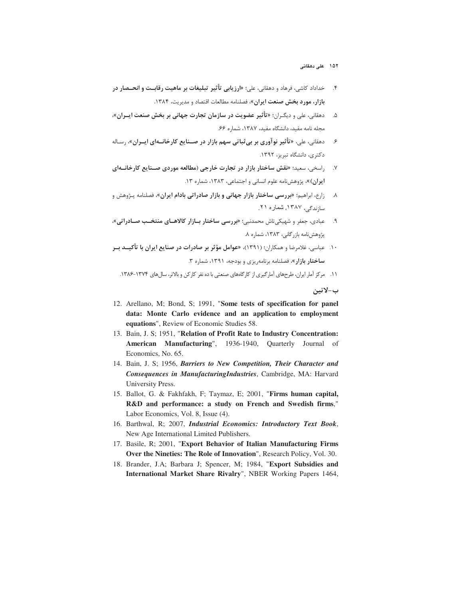۱۵۲ علی دهقانی

- ۴. خداداد کاشی، فرهاد و دهقانی، علی؛ «**ارزیابی تأثیر تبلیغات بر ماهیت رقابـت و انحــصار در بازار، مورد بخش صنعت ایران»،** فصلنامه مطالعات اقتصاد و مدیریت، ۱۳۸۴.
- ۵. د هقانی، علی و دیگـران؛ «تأثیر عضویت در سازمان تجارت جهانی بر بخش صنعت ایــران»، مجله نامه مفيد، دانشگاه مفيد، ١٣٨٧، شماره ۶۶.
- ۶ \_\_\_ دهقانی، علی، «تأثیر نوآوری بر بی ثباتی سهم بازار در صــنایع کارخانــهای ایــران»، رسـاله دکتری، دانشگاه تبریز، ۱۳۹۲.
- ۷. راسخی، سعید؛ «نقش ساختار بازار در تجارت خارجی (مطالعه موردی صـنایع کارخانــهای ا**یران**)»، پژوهشiامه علوم انسانی و اجتماعی، ۱۳۸۳، شماره ۱۳.
- ۸ ٪ زارع، ابراهیم؛ **«بررسی ساختار بازار جهانی و بازار صادراتی بادام ایران»،** فصلنامه پـژوهش و سازندگی، ۱۳۸۷، شماره ۲۱.
- ۹. میادی، جعفر و شهیکیتاش محمدنبی؛ «بررسی ساختار بازار کالاهـای منتخـب صـادراتی»، پژوهش:نامه بازرگانی، ۱۳۸۳، شماره ۸.
- ۱۰. عباسی، غلامرضا و همکاران؛ (۱۳۹۱)، «عوامل مؤثر بر صادرات در صنایع ایران با تأکیــد بــر ساختار بازار»، فصلنامه برنامهريزي و بودجه، ١٣٩١، شماره ٣.

۱۱. مرکز آمار ایران، طرحهای آمارگیری از کارگاههای صنعتی با ده نفر کارکن و بالاتر، سالهای ۱۳۷۴–۱۳۸۶.

ب-لاتين

- 12. Arellano, M; Bond, S; 1991, "**Some tests of specification for panel data: Monte Carlo evidence and an application to employment equations**", Review of Economic Studies 58.
- 13. Bain, J. S; 1951, "**Relation of Profit Rate to Industry Concentration: American Manufacturing**", 1936-1940, Quarterly Journal of Economics, No. 65.
- 14. Bain, J. S; 1956, *Barriers to New Competition, Their Character and Consequences in ManufacturingIndustries*, Cambridge, MA: Harvard University Press.
- 15. Ballot, G. & Fakhfakh, F; Taymaz, E; 2001, "**Firms human capital, R&D and performance: a study on French and Swedish firms**," Labor Economics, Vol. 8, Issue (4).
- 16. Barthwal, R; 2007, *Industrial Economics: Introductory Text Book*, New Age International Limited Publishers.
- 17. Basile, R; 2001, "**Export Behavior of Italian Manufacturing Firms Over the Nineties: The Role of Innovation**", Research Policy, Vol. 30.
- 18. Brander, J.A; Barbara J; Spencer, M; 1984, "**Export Subsidies and International Market Share Rivalry**", NBER Working Papers 1464,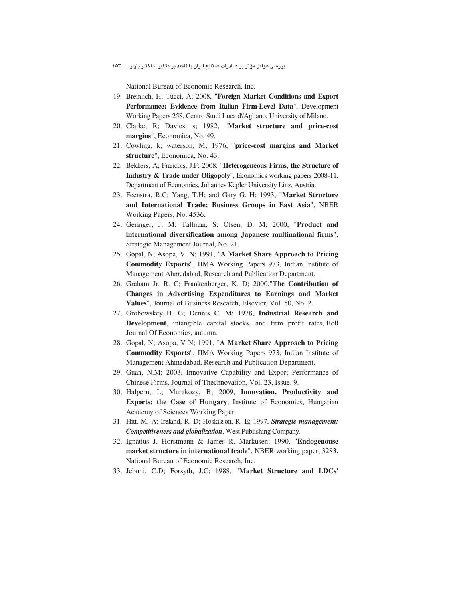National Bureau of Economic Research, Inc.

- 19. Breinlich, H; Tucci, A; 2008, "**Foreign Market Conditions and Export Performance: Evidence from Italian Firm-Level Data**", Development Working Papers 258, Centro Studi Luca d\'Agliano, University of Milano.
- 20. Clarke, R; Davies, s; 1982, "**Market structure and price-cost margins**", Economica, No. 49.
- 21. Cowling, k; waterson, M; 1976, "**price-cost margins and Market structure**", Economica, No. 43.
- 22. Bekkers, A; Francois, J.F; 2008, "**Heterogeneous Firms, the Structure of Industry & Trade under Oligopoly**", Economics working papers 2008-11, Department of Economics, Johannes Kepler University Linz, Austria.
- 23. Feenstra, R.C; Yang, T.H; and Gary G. H; 1993, "**Market Structure and International Trade: Business Groups in East Asia**", NBER Working Papers, No. 4536.
- 24. Geringer, J. M; Tallman, S; Olsen, D. M; 2000, "**Product and international diversification among Japanese multinational firms**", Strategic Management Journal, No. 21.
- 25. Gopal, N; Asopa, V. N; 1991, "**A Market Share Approach to Pricing Commodity Exports**", IIMA Working Papers 973, Indian Institute of Management Ahmedabad, Research and Publication Department.
- 26. Graham Jr. R. C; Frankenberger, K. D; 2000,"**The Contribution of Changes in Advertising Expenditures to Earnings and Market Values**", Journal of Business Research, Elsevier, Vol. 50, No. 2.
- 27. Grobowskey, H. G; Dennis C. M; 1978, **Industrial Research and Development**, intangible capital stocks, and firm profit rates, Bell Journal Of Economics, autumn.
- 28. Gopal, N; Asopa, V N; 1991, "**A Market Share Approach to Pricing Commodity Exports**", IIMA Working Papers 973, Indian Institute of Management Ahmedabad, Research and Publication Department.
- 29. Guan, N.M; 2003, Innovative Capability and Export Performance of Chinese Firms, Journal of Thechnovation, Vol. 23, Issue. 9.
- 30. Halpern, L; Murakozy, B; 2009, **Innovation, Productivity and Exports: the Case of Hungary**, Institute of Economics, Hungarian Academy of Sciences Working Paper.
- 31. Hitt, M. A; Ireland, R. D; Hoskisson, R. E; 1997, *Strategic management: Competitiveness and globalization*, West Publishing Company.
- 32. Ignatius J. Horstmann & James R. Markusen; 1990, "**Endogenouse market structure in international trade**", NBER working paper, 3283, National Bureau of Economic Research, Inc.
- 33. Jebuni, C.D; Forsyth, J.C; 1988, "**Market Structure and LDCs'**

بررسی عوامل مؤثر بر صادرات صنایع ایران با تاکید بر متغیر ساختار بازار… ۱۵۳